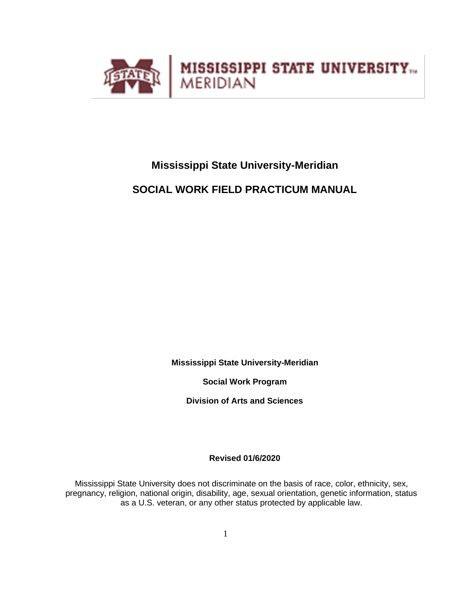

# **Mississippi State University-Meridian**

# **SOCIAL WORK FIELD PRACTICUM MANUAL**

**Mississippi State University-Meridian**

**Social Work Program**

**Division of Arts and Sciences**

**Revised 01/6/2020**

Mississippi State University does not discriminate on the basis of race, color, ethnicity, sex, pregnancy, religion, national origin, disability, age, sexual orientation, genetic information, status as a U.S. veteran, or any other status protected by applicable law.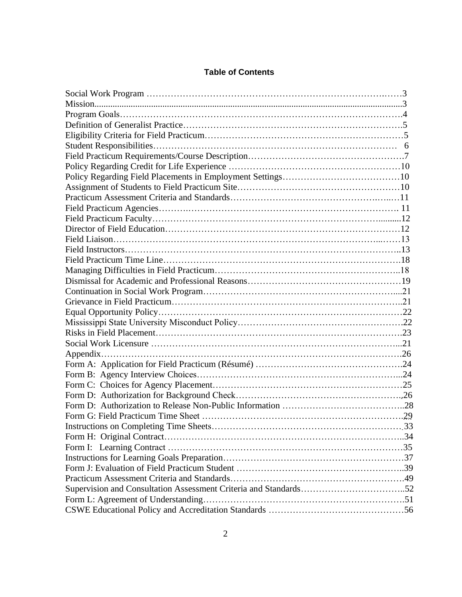| <b>Table of Contents</b> |  |
|--------------------------|--|
|--------------------------|--|

| 33 |
|----|
|    |
|    |
|    |
|    |
|    |
|    |
|    |
|    |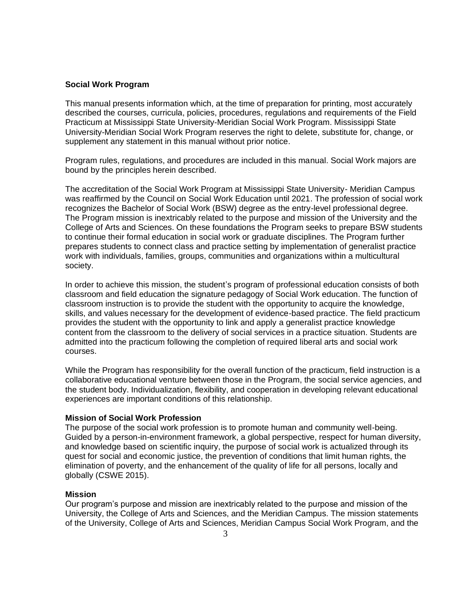### <span id="page-2-0"></span>**Social Work Program**

This manual presents information which, at the time of preparation for printing, most accurately described the courses, curricula, policies, procedures, regulations and requirements of the Field Practicum at Mississippi State University-Meridian Social Work Program. Mississippi State University-Meridian Social Work Program reserves the right to delete, substitute for, change, or supplement any statement in this manual without prior notice.

Program rules, regulations, and procedures are included in this manual. Social Work majors are bound by the principles herein described.

The accreditation of the Social Work Program at Mississippi State University- Meridian Campus was reaffirmed by the Council on Social Work Education until 2021. The profession of social work recognizes the Bachelor of Social Work (BSW) degree as the entry-level professional degree. The Program mission is inextricably related to the purpose and mission of the University and the College of Arts and Sciences. On these foundations the Program seeks to prepare BSW students to continue their formal education in social work or graduate disciplines. The Program further prepares students to connect class and practice setting by implementation of generalist practice work with individuals, families, groups, communities and organizations within a multicultural society.

In order to achieve this mission, the student's program of professional education consists of both classroom and field education the signature pedagogy of Social Work education. The function of classroom instruction is to provide the student with the opportunity to acquire the knowledge, skills, and values necessary for the development of evidence-based practice. The field practicum provides the student with the opportunity to link and apply a generalist practice knowledge content from the classroom to the delivery of social services in a practice situation. Students are admitted into the practicum following the completion of required liberal arts and social work courses.

While the Program has responsibility for the overall function of the practicum, field instruction is a collaborative educational venture between those in the Program, the social service agencies, and the student body. Individualization, flexibility, and cooperation in developing relevant educational experiences are important conditions of this relationship.

### **Mission of Social Work Profession**

The purpose of the social work profession is to promote human and community well-being. Guided by a person-in-environment framework, a global perspective, respect for human diversity, and knowledge based on scientific inquiry, the purpose of social work is actualized through its quest for social and economic justice, the prevention of conditions that limit human rights, the elimination of poverty, and the enhancement of the quality of life for all persons, locally and globally (CSWE 2015).

# **Mission**

Our program's purpose and mission are inextricably related to the purpose and mission of the University, the College of Arts and Sciences, and the Meridian Campus. The mission statements of the University, College of Arts and Sciences, Meridian Campus Social Work Program, and the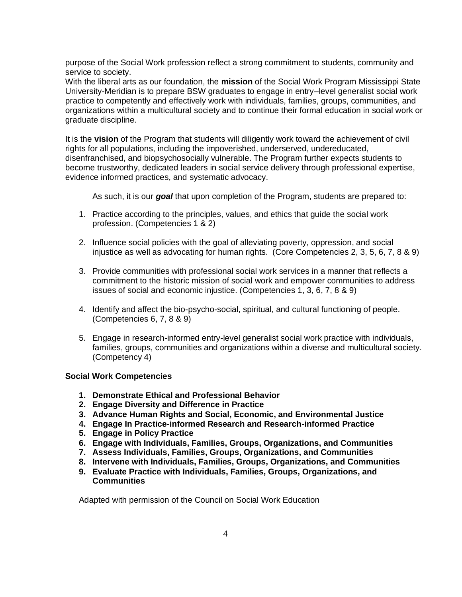purpose of the Social Work profession reflect a strong commitment to students, community and service to society.

With the liberal arts as our foundation, the **mission** of the Social Work Program Mississippi State University-Meridian is to prepare BSW graduates to engage in entry–level generalist social work practice to competently and effectively work with individuals, families, groups, communities, and organizations within a multicultural society and to continue their formal education in social work or graduate discipline.

It is the **vision** of the Program that students will diligently work toward the achievement of civil rights for all populations, including the impoverished, underserved, undereducated, disenfranchised, and biopsychosocially vulnerable. The Program further expects students to become trustworthy, dedicated leaders in social service delivery through professional expertise, evidence informed practices, and systematic advocacy.

As such, it is our *goal* that upon completion of the Program, students are prepared to:

- 1. Practice according to the principles, values, and ethics that guide the social work profession. (Competencies 1 & 2)
- 2. Influence social policies with the goal of alleviating poverty, oppression, and social injustice as well as advocating for human rights. (Core Competencies 2, 3, 5, 6, 7, 8 & 9)
- 3. Provide communities with professional social work services in a manner that reflects a commitment to the historic mission of social work and empower communities to address issues of social and economic injustice. (Competencies 1, 3, 6, 7, 8 & 9)
- 4. Identify and affect the bio-psycho-social, spiritual, and cultural functioning of people. (Competencies 6, 7, 8 & 9)
- 5. Engage in research-informed entry-level generalist social work practice with individuals, families, groups, communities and organizations within a diverse and multicultural society. (Competency 4)

# **Social Work Competencies**

- **1. Demonstrate Ethical and Professional Behavior**
- **2. Engage Diversity and Difference in Practice**
- **3. Advance Human Rights and Social, Economic, and Environmental Justice**
- **4. Engage In Practice-informed Research and Research-informed Practice**
- **5. Engage in Policy Practice**
- **6. Engage with Individuals, Families, Groups, Organizations, and Communities**
- **7. Assess Individuals, Families, Groups, Organizations, and Communities**
- **8. Intervene with Individuals, Families, Groups, Organizations, and Communities**
- **9. Evaluate Practice with Individuals, Families, Groups, Organizations, and Communities**

Adapted with permission of the Council on Social Work Education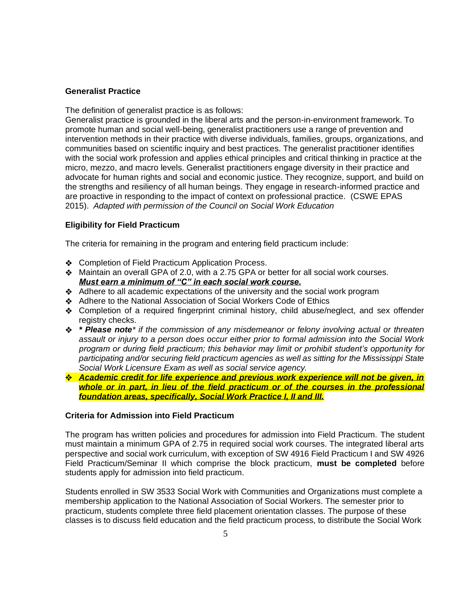### **Generalist Practice**

The definition of generalist practice is as follows:

Generalist practice is grounded in the liberal arts and the person-in-environment framework. To promote human and social well-being, generalist practitioners use a range of prevention and intervention methods in their practice with diverse individuals, families, groups, organizations, and communities based on scientific inquiry and best practices. The generalist practitioner identifies with the social work profession and applies ethical principles and critical thinking in practice at the micro, mezzo, and macro levels. Generalist practitioners engage diversity in their practice and advocate for human rights and social and economic justice. They recognize, support, and build on the strengths and resiliency of all human beings. They engage in research-informed practice and are proactive in responding to the impact of context on professional practice. (CSWE EPAS 2015). *Adapted with permission of the Council on Social Work Education*

# **Eligibility for Field Practicum**

The criteria for remaining in the program and entering field practicum include:

- ❖ Completion of Field Practicum Application Process.
- Maintain an overall GPA of 2.0, with a 2.75 GPA or better for all social work courses. *Must earn a minimum of "C" in each social work course.*
- Adhere to all academic expectations of the university and the social work program
- Adhere to the National Association of Social Workers Code of Ethics
- Completion of a required fingerprint criminal history, child abuse/neglect, and sex offender registry checks.
- *\* Please note\* if the commission of any misdemeanor or felony involving actual or threaten assault or injury to a person does occur either prior to formal admission into the Social Work program or during field practicum; this behavior may limit or prohibit student's opportunity for participating and/or securing field practicum agencies as well as sitting for the Mississippi State Social Work Licensure Exam as well as social service agency.*
- *Academic credit for life experience and previous work experience will not be given, in whole or in part, in lieu of the field practicum or of the courses in the professional foundation areas, specifically, Social Work Practice I, II and III.*

# **Criteria for Admission into Field Practicum**

The program has written policies and procedures for admission into Field Practicum. The student must maintain a minimum GPA of 2.75 in required social work courses. The integrated liberal arts perspective and social work curriculum, with exception of SW 4916 Field Practicum I and SW 4926 Field Practicum/Seminar II which comprise the block practicum, **must be completed** before students apply for admission into field practicum.

Students enrolled in SW 3533 Social Work with Communities and Organizations must complete a membership application to the National Association of Social Workers. The semester prior to practicum, students complete three field placement orientation classes. The purpose of these classes is to discuss field education and the field practicum process, to distribute the Social Work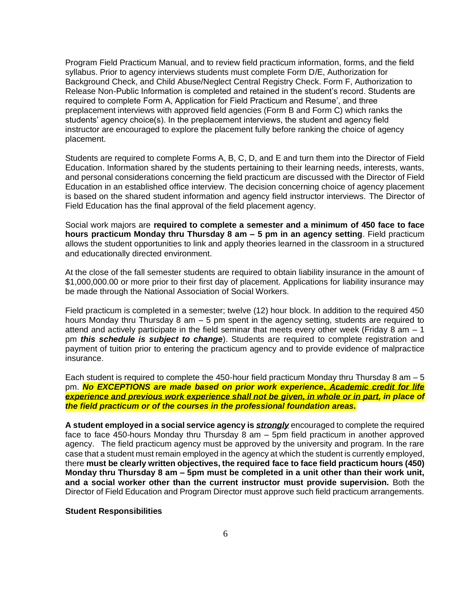Program Field Practicum Manual, and to review field practicum information, forms, and the field syllabus. Prior to agency interviews students must complete Form D/E, Authorization for Background Check, and Child Abuse/Neglect Central Registry Check. Form F, Authorization to Release Non-Public Information is completed and retained in the student's record. Students are required to complete Form A, Application for Field Practicum and Resume', and three preplacement interviews with approved field agencies (Form B and Form C) which ranks the students' agency choice(s). In the preplacement interviews, the student and agency field instructor are encouraged to explore the placement fully before ranking the choice of agency placement.

Students are required to complete Forms A, B, C, D, and E and turn them into the Director of Field Education. Information shared by the students pertaining to their learning needs, interests, wants, and personal considerations concerning the field practicum are discussed with the Director of Field Education in an established office interview. The decision concerning choice of agency placement is based on the shared student information and agency field instructor interviews. The Director of Field Education has the final approval of the field placement agency.

Social work majors are **required to complete a semester and a minimum of 450 face to face hours practicum Monday thru Thursday 8 am – 5 pm in an agency setting**. Field practicum allows the student opportunities to link and apply theories learned in the classroom in a structured and educationally directed environment.

At the close of the fall semester students are required to obtain liability insurance in the amount of \$1,000,000.00 or more prior to their first day of placement. Applications for liability insurance may be made through the National Association of Social Workers.

Field practicum is completed in a semester; twelve (12) hour block. In addition to the required 450 hours Monday thru Thursday 8 am  $-5$  pm spent in the agency setting, students are required to attend and actively participate in the field seminar that meets every other week (Friday 8 am  $-1$ ) pm *this schedule is subject to change*). Students are required to complete registration and payment of tuition prior to entering the practicum agency and to provide evidence of malpractice insurance.

Each student is required to complete the 450-hour field practicum Monday thru Thursday 8 am  $-5$ pm. *No EXCEPTIONS are made based on prior work experience. Academic credit for life experience and previous work experience shall not be given, in whole or in part, in place of the field practicum or of the courses in the professional foundation areas.*

**A student employed in a social service agency is** *strongly* encouraged to complete the required face to face 450-hours Monday thru Thursday 8 am – 5pm field practicum in another approved agency. The field practicum agency must be approved by the university and program. In the rare case that a student must remain employed in the agency at which the student is currently employed, there **must be clearly written objectives, the required face to face field practicum hours (450) Monday thru Thursday 8 am – 5pm must be completed in a unit other than their work unit, and a social worker other than the current instructor must provide supervision.** Both the Director of Field Education and Program Director must approve such field practicum arrangements.

### <span id="page-5-0"></span>**Student Responsibilities**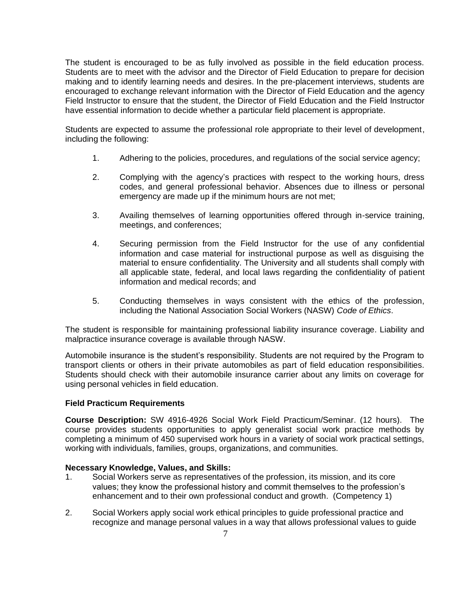The student is encouraged to be as fully involved as possible in the field education process. Students are to meet with the advisor and the Director of Field Education to prepare for decision making and to identify learning needs and desires. In the pre-placement interviews, students are encouraged to exchange relevant information with the Director of Field Education and the agency Field Instructor to ensure that the student, the Director of Field Education and the Field Instructor have essential information to decide whether a particular field placement is appropriate.

Students are expected to assume the professional role appropriate to their level of development, including the following:

- 1. Adhering to the policies, procedures, and regulations of the social service agency;
- 2. Complying with the agency's practices with respect to the working hours, dress codes, and general professional behavior. Absences due to illness or personal emergency are made up if the minimum hours are not met;
- 3. Availing themselves of learning opportunities offered through in-service training, meetings, and conferences;
- 4. Securing permission from the Field Instructor for the use of any confidential information and case material for instructional purpose as well as disguising the material to ensure confidentiality. The University and all students shall comply with all applicable state, federal, and local laws regarding the confidentiality of patient information and medical records; and
- 5. Conducting themselves in ways consistent with the ethics of the profession, including the National Association Social Workers (NASW) *Code of Ethics*.

The student is responsible for maintaining professional liability insurance coverage. Liability and malpractice insurance coverage is available through NASW.

Automobile insurance is the student's responsibility. Students are not required by the Program to transport clients or others in their private automobiles as part of field education responsibilities. Students should check with their automobile insurance carrier about any limits on coverage for using personal vehicles in field education.

# <span id="page-6-0"></span>**Field Practicum Requirements**

**Course Description:** SW 4916-4926 Social Work Field Practicum/Seminar. (12 hours). The course provides students opportunities to apply generalist social work practice methods by completing a minimum of 450 supervised work hours in a variety of social work practical settings, working with individuals, families, groups, organizations, and communities.

# **Necessary Knowledge, Values, and Skills:**

- 1. Social Workers serve as representatives of the profession, its mission, and its core values; they know the professional history and commit themselves to the profession's enhancement and to their own professional conduct and growth. (Competency 1)
- 2. Social Workers apply social work ethical principles to guide professional practice and recognize and manage personal values in a way that allows professional values to guide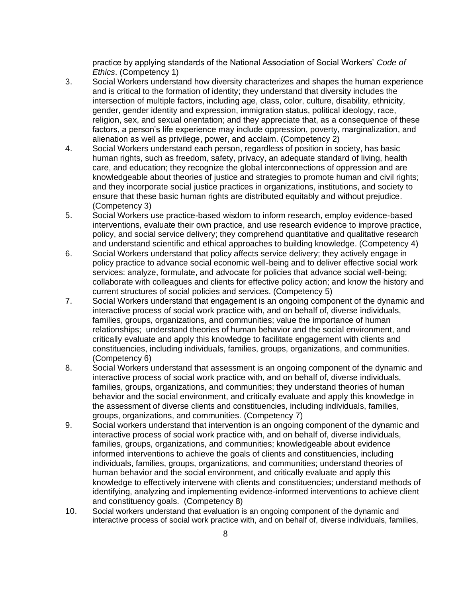practice by applying standards of the National Association of Social Workers' *Code of Ethics*. (Competency 1)

- 3. Social Workers understand how diversity characterizes and shapes the human experience and is critical to the formation of identity; they understand that diversity includes the intersection of multiple factors, including age, class, color, culture, disability, ethnicity, gender, gender identity and expression, immigration status, political ideology, race, religion, sex, and sexual orientation; and they appreciate that, as a consequence of these factors, a person's life experience may include oppression, poverty, marginalization, and alienation as well as privilege, power, and acclaim. (Competency 2)
- 4. Social Workers understand each person, regardless of position in society, has basic human rights, such as freedom, safety, privacy, an adequate standard of living, health care, and education; they recognize the global interconnections of oppression and are knowledgeable about theories of justice and strategies to promote human and civil rights; and they incorporate social justice practices in organizations, institutions, and society to ensure that these basic human rights are distributed equitably and without prejudice. (Competency 3)
- 5. Social Workers use practice-based wisdom to inform research, employ evidence-based interventions, evaluate their own practice, and use research evidence to improve practice, policy, and social service delivery; they comprehend quantitative and qualitative research and understand scientific and ethical approaches to building knowledge. (Competency 4)
- 6. Social Workers understand that policy affects service delivery; they actively engage in policy practice to advance social economic well-being and to deliver effective social work services: analyze, formulate, and advocate for policies that advance social well-being; collaborate with colleagues and clients for effective policy action; and know the history and current structures of social policies and services. (Competency 5)
- 7. Social Workers understand that engagement is an ongoing component of the dynamic and interactive process of social work practice with, and on behalf of, diverse individuals, families, groups, organizations, and communities; value the importance of human relationships; understand theories of human behavior and the social environment, and critically evaluate and apply this knowledge to facilitate engagement with clients and constituencies, including individuals, families, groups, organizations, and communities. (Competency 6)
- 8. Social Workers understand that assessment is an ongoing component of the dynamic and interactive process of social work practice with, and on behalf of, diverse individuals, families, groups, organizations, and communities; they understand theories of human behavior and the social environment, and critically evaluate and apply this knowledge in the assessment of diverse clients and constituencies, including individuals, families, groups, organizations, and communities. (Competency 7)
- 9. Social workers understand that intervention is an ongoing component of the dynamic and interactive process of social work practice with, and on behalf of, diverse individuals, families, groups, organizations, and communities; knowledgeable about evidence informed interventions to achieve the goals of clients and constituencies, including individuals, families, groups, organizations, and communities; understand theories of human behavior and the social environment, and critically evaluate and apply this knowledge to effectively intervene with clients and constituencies; understand methods of identifying, analyzing and implementing evidence-informed interventions to achieve client and constituency goals. (Competency 8)
- 10. Social workers understand that evaluation is an ongoing component of the dynamic and interactive process of social work practice with, and on behalf of, diverse individuals, families,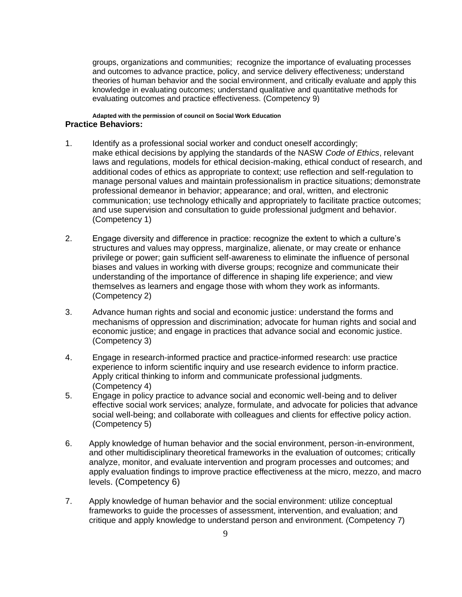groups, organizations and communities; recognize the importance of evaluating processes and outcomes to advance practice, policy, and service delivery effectiveness; understand theories of human behavior and the social environment, and critically evaluate and apply this knowledge in evaluating outcomes; understand qualitative and quantitative methods for evaluating outcomes and practice effectiveness. (Competency 9)

### **Adapted with the permission of council on Social Work Education Practice Behaviors:**

- 1. Identify as a professional social worker and conduct oneself accordingly; make ethical decisions by applying the standards of the NASW *Code of Ethics*, relevant laws and regulations, models for ethical decision-making, ethical conduct of research, and additional codes of ethics as appropriate to context; use reflection and self-regulation to manage personal values and maintain professionalism in practice situations; demonstrate professional demeanor in behavior; appearance; and oral, written, and electronic communication; use technology ethically and appropriately to facilitate practice outcomes; and use supervision and consultation to guide professional judgment and behavior. (Competency 1)
- 2. Engage diversity and difference in practice: recognize the extent to which a culture's structures and values may oppress, marginalize, alienate, or may create or enhance privilege or power; gain sufficient self-awareness to eliminate the influence of personal biases and values in working with diverse groups; recognize and communicate their understanding of the importance of difference in shaping life experience; and view themselves as learners and engage those with whom they work as informants. (Competency 2)
- 3. Advance human rights and social and economic justice: understand the forms and mechanisms of oppression and discrimination; advocate for human rights and social and economic justice; and engage in practices that advance social and economic justice. (Competency 3)
- 4. Engage in research-informed practice and practice-informed research: use practice experience to inform scientific inquiry and use research evidence to inform practice. Apply critical thinking to inform and communicate professional judgments. (Competency 4)
- 5. Engage in policy practice to advance social and economic well-being and to deliver effective social work services; analyze, formulate, and advocate for policies that advance social well-being; and collaborate with colleagues and clients for effective policy action. (Competency 5)
- 6. Apply knowledge of human behavior and the social environment, person-in-environment, and other multidisciplinary theoretical frameworks in the evaluation of outcomes; critically analyze, monitor, and evaluate intervention and program processes and outcomes; and apply evaluation findings to improve practice effectiveness at the micro, mezzo, and macro levels. (Competency 6)
- 7. Apply knowledge of human behavior and the social environment: utilize conceptual frameworks to guide the processes of assessment, intervention, and evaluation; and critique and apply knowledge to understand person and environment. (Competency 7)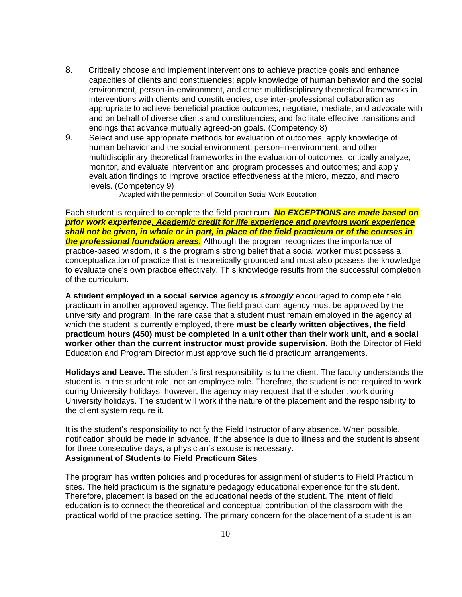- 8. Critically choose and implement interventions to achieve practice goals and enhance capacities of clients and constituencies; apply knowledge of human behavior and the social environment, person-in-environment, and other multidisciplinary theoretical frameworks in interventions with clients and constituencies; use inter-professional collaboration as appropriate to achieve beneficial practice outcomes; negotiate, mediate, and advocate with and on behalf of diverse clients and constituencies; and facilitate effective transitions and endings that advance mutually agreed-on goals. (Competency 8)
- 9. Select and use appropriate methods for evaluation of outcomes; apply knowledge of human behavior and the social environment, person-in-environment, and other multidisciplinary theoretical frameworks in the evaluation of outcomes; critically analyze, monitor, and evaluate intervention and program processes and outcomes; and apply evaluation findings to improve practice effectiveness at the micro, mezzo, and macro levels. (Competency 9)

Adapted with the permission of Council on Social Work Education

Each student is required to complete the field practicum. *No EXCEPTIONS are made based on prior work experience. Academic credit for life experience and previous work experience shall not be given, in whole or in part, in place of the field practicum or of the courses in the professional foundation areas.* Although the program recognizes the importance of practice-based wisdom, it is the program's strong belief that a social worker must possess a conceptualization of practice that is theoretically grounded and must also possess the knowledge to evaluate one's own practice effectively. This knowledge results from the successful completion of the curriculum.

**A student employed in a social service agency is** *strongly* encouraged to complete field practicum in another approved agency. The field practicum agency must be approved by the university and program. In the rare case that a student must remain employed in the agency at which the student is currently employed, there **must be clearly written objectives, the field practicum hours (450) must be completed in a unit other than their work unit, and a social worker other than the current instructor must provide supervision.** Both the Director of Field Education and Program Director must approve such field practicum arrangements.

**Holidays and Leave.** The student's first responsibility is to the client. The faculty understands the student is in the student role, not an employee role. Therefore, the student is not required to work during University holidays; however, the agency may request that the student work during University holidays. The student will work if the nature of the placement and the responsibility to the client system require it.

It is the student's responsibility to notify the Field Instructor of any absence. When possible, notification should be made in advance. If the absence is due to illness and the student is absent for three consecutive days, a physician's excuse is necessary. **Assignment of Students to Field Practicum Sites**

<span id="page-9-0"></span>The program has written policies and procedures for assignment of students to Field Practicum sites. The field practicum is the signature pedagogy educational experience for the student. Therefore, placement is based on the educational needs of the student. The intent of field education is to connect the theoretical and conceptual contribution of the classroom with the practical world of the practice setting. The primary concern for the placement of a student is an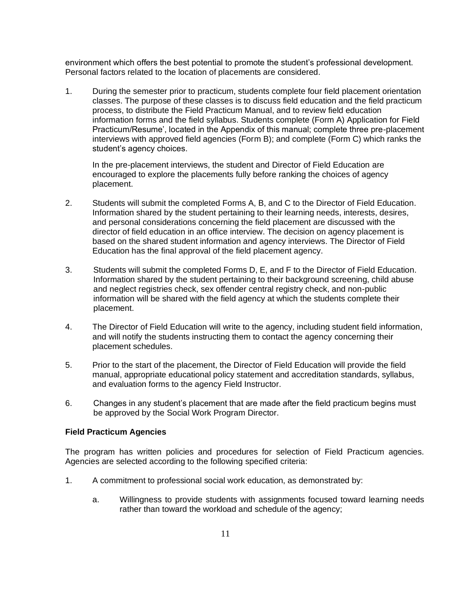environment which offers the best potential to promote the student's professional development. Personal factors related to the location of placements are considered.

1. During the semester prior to practicum, students complete four field placement orientation classes. The purpose of these classes is to discuss field education and the field practicum process, to distribute the Field Practicum Manual, and to review field education information forms and the field syllabus. Students complete (Form A) Application for Field Practicum/Resume', located in the Appendix of this manual; complete three pre-placement interviews with approved field agencies (Form B); and complete (Form C) which ranks the student's agency choices.

In the pre-placement interviews, the student and Director of Field Education are encouraged to explore the placements fully before ranking the choices of agency placement.

- 2. Students will submit the completed Forms A, B, and C to the Director of Field Education. Information shared by the student pertaining to their learning needs, interests, desires, and personal considerations concerning the field placement are discussed with the director of field education in an office interview. The decision on agency placement is based on the shared student information and agency interviews. The Director of Field Education has the final approval of the field placement agency.
- 3. Students will submit the completed Forms D, E, and F to the Director of Field Education. Information shared by the student pertaining to their background screening, child abuse and neglect registries check, sex offender central registry check, and non-public information will be shared with the field agency at which the students complete their placement.
- 4. The Director of Field Education will write to the agency, including student field information, and will notify the students instructing them to contact the agency concerning their placement schedules.
- 5. Prior to the start of the placement, the Director of Field Education will provide the field manual, appropriate educational policy statement and accreditation standards, syllabus, and evaluation forms to the agency Field Instructor.
- 6. Changes in any student's placement that are made after the field practicum begins must be approved by the Social Work Program Director.

# **Field Practicum Agencies**

The program has written policies and procedures for selection of Field Practicum agencies. Agencies are selected according to the following specified criteria:

- 1. A commitment to professional social work education, as demonstrated by:
	- a. Willingness to provide students with assignments focused toward learning needs rather than toward the workload and schedule of the agency;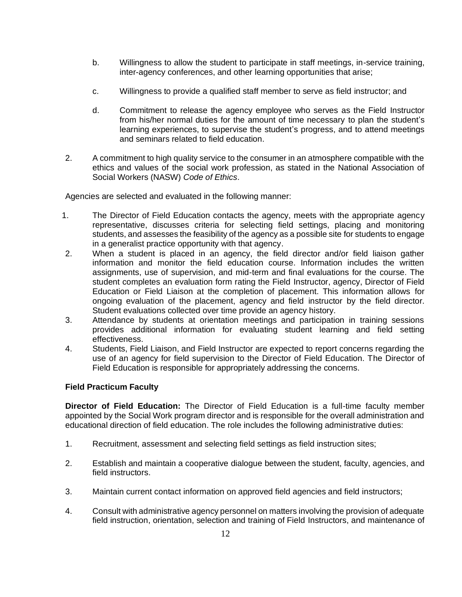- b. Willingness to allow the student to participate in staff meetings, in-service training, inter-agency conferences, and other learning opportunities that arise;
- c. Willingness to provide a qualified staff member to serve as field instructor; and
- d. Commitment to release the agency employee who serves as the Field Instructor from his/her normal duties for the amount of time necessary to plan the student's learning experiences, to supervise the student's progress, and to attend meetings and seminars related to field education.
- 2. A commitment to high quality service to the consumer in an atmosphere compatible with the ethics and values of the social work profession, as stated in the National Association of Social Workers (NASW) *Code of Ethics*.

Agencies are selected and evaluated in the following manner:

- 1. The Director of Field Education contacts the agency, meets with the appropriate agency representative, discusses criteria for selecting field settings, placing and monitoring students, and assesses the feasibility of the agency as a possible site for students to engage in a generalist practice opportunity with that agency.
- 2. When a student is placed in an agency, the field director and/or field liaison gather information and monitor the field education course. Information includes the written assignments, use of supervision, and mid-term and final evaluations for the course. The student completes an evaluation form rating the Field Instructor, agency, Director of Field Education or Field Liaison at the completion of placement. This information allows for ongoing evaluation of the placement, agency and field instructor by the field director. Student evaluations collected over time provide an agency history.
- 3. Attendance by students at orientation meetings and participation in training sessions provides additional information for evaluating student learning and field setting effectiveness.
- 4. Students, Field Liaison, and Field Instructor are expected to report concerns regarding the use of an agency for field supervision to the Director of Field Education. The Director of Field Education is responsible for appropriately addressing the concerns.

# **Field Practicum Faculty**

<span id="page-11-0"></span>**Director of Field Education:** The Director of Field Education is a full-time faculty member appointed by the Social Work program director and is responsible for the overall administration and educational direction of field education. The role includes the following administrative duties:

- 1. Recruitment, assessment and selecting field settings as field instruction sites;
- 2. Establish and maintain a cooperative dialogue between the student, faculty, agencies, and field instructors.
- 3. Maintain current contact information on approved field agencies and field instructors;
- 4. Consult with administrative agency personnel on matters involving the provision of adequate field instruction, orientation, selection and training of Field Instructors, and maintenance of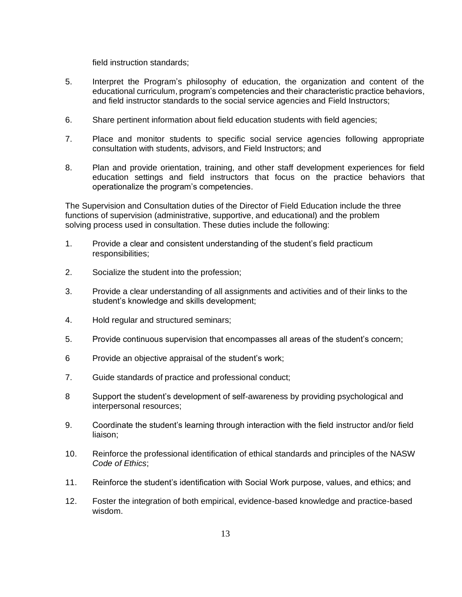field instruction standards;

- 5. Interpret the Program's philosophy of education, the organization and content of the educational curriculum, program's competencies and their characteristic practice behaviors, and field instructor standards to the social service agencies and Field Instructors;
- 6. Share pertinent information about field education students with field agencies;
- 7. Place and monitor students to specific social service agencies following appropriate consultation with students, advisors, and Field Instructors; and
- 8. Plan and provide orientation, training, and other staff development experiences for field education settings and field instructors that focus on the practice behaviors that operationalize the program's competencies.

The Supervision and Consultation duties of the Director of Field Education include the three functions of supervision (administrative, supportive, and educational) and the problem solving process used in consultation. These duties include the following:

- 1. Provide a clear and consistent understanding of the student's field practicum responsibilities;
- 2. Socialize the student into the profession;
- 3. Provide a clear understanding of all assignments and activities and of their links to the student's knowledge and skills development;
- 4. Hold regular and structured seminars;
- 5. Provide continuous supervision that encompasses all areas of the student's concern;
- 6 Provide an objective appraisal of the student's work;
- 7. Guide standards of practice and professional conduct;
- 8 Support the student's development of self-awareness by providing psychological and interpersonal resources;
- 9. Coordinate the student's learning through interaction with the field instructor and/or field liaison;
- 10. Reinforce the professional identification of ethical standards and principles of the NASW *Code of Ethics*;
- 11. Reinforce the student's identification with Social Work purpose, values, and ethics; and
- 12. Foster the integration of both empirical, evidence-based knowledge and practice-based wisdom.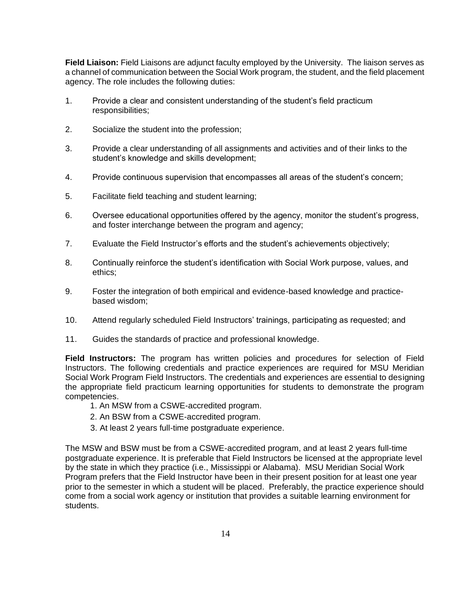<span id="page-13-0"></span>**Field Liaison:** Field Liaisons are adjunct faculty employed by the University. The liaison serves as a channel of communication between the Social Work program, the student, and the field placement agency. The role includes the following duties:

- 1. Provide a clear and consistent understanding of the student's field practicum responsibilities;
- 2. Socialize the student into the profession;
- 3. Provide a clear understanding of all assignments and activities and of their links to the student's knowledge and skills development;
- 4. Provide continuous supervision that encompasses all areas of the student's concern;
- 5. Facilitate field teaching and student learning;
- 6. Oversee educational opportunities offered by the agency, monitor the student's progress, and foster interchange between the program and agency;
- 7. Evaluate the Field Instructor's efforts and the student's achievements objectively;
- 8. Continually reinforce the student's identification with Social Work purpose, values, and ethics;
- 9. Foster the integration of both empirical and evidence-based knowledge and practicebased wisdom;
- 10. Attend regularly scheduled Field Instructors' trainings, participating as requested; and
- 11. Guides the standards of practice and professional knowledge.

**Field Instructors:** The program has written policies and procedures for selection of Field Instructors. The following credentials and practice experiences are required for MSU Meridian Social Work Program Field Instructors. The credentials and experiences are essential to designing the appropriate field practicum learning opportunities for students to demonstrate the program competencies.

- <span id="page-13-1"></span>1. An MSW from a CSWE-accredited program.
- 2. An BSW from a CSWE-accredited program.
- 3. At least 2 years full-time postgraduate experience.

The MSW and BSW must be from a CSWE-accredited program, and at least 2 years full-time postgraduate experience. It is preferable that Field Instructors be licensed at the appropriate level by the state in which they practice (i.e., Mississippi or Alabama). MSU Meridian Social Work Program prefers that the Field Instructor have been in their present position for at least one year prior to the semester in which a student will be placed. Preferably, the practice experience should come from a social work agency or institution that provides a suitable learning environment for students.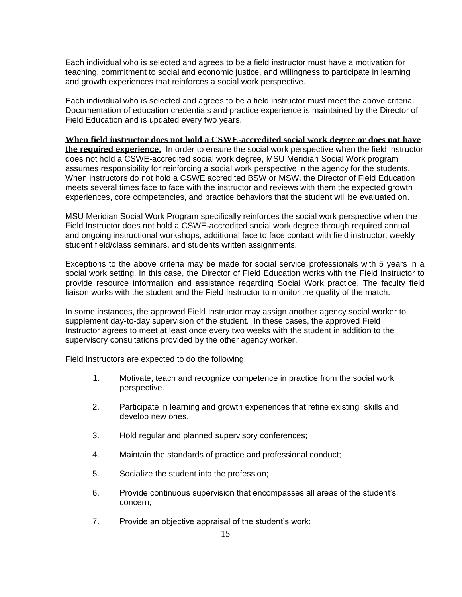Each individual who is selected and agrees to be a field instructor must have a motivation for teaching, commitment to social and economic justice, and willingness to participate in learning and growth experiences that reinforces a social work perspective.

Each individual who is selected and agrees to be a field instructor must meet the above criteria. Documentation of education credentials and practice experience is maintained by the Director of Field Education and is updated every two years.

**When field instructor does not hold a CSWE-accredited social work degree or does not have the required experience.** In order to ensure the social work perspective when the field instructor does not hold a CSWE-accredited social work degree, MSU Meridian Social Work program assumes responsibility for reinforcing a social work perspective in the agency for the students. When instructors do not hold a CSWE accredited BSW or MSW, the Director of Field Education meets several times face to face with the instructor and reviews with them the expected growth experiences, core competencies, and practice behaviors that the student will be evaluated on.

MSU Meridian Social Work Program specifically reinforces the social work perspective when the Field Instructor does not hold a CSWE-accredited social work degree through required annual and ongoing instructional workshops, additional face to face contact with field instructor, weekly student field/class seminars, and students written assignments.

Exceptions to the above criteria may be made for social service professionals with 5 years in a social work setting. In this case, the Director of Field Education works with the Field Instructor to provide resource information and assistance regarding Social Work practice. The faculty field liaison works with the student and the Field Instructor to monitor the quality of the match.

In some instances, the approved Field Instructor may assign another agency social worker to supplement day-to-day supervision of the student. In these cases, the approved Field Instructor agrees to meet at least once every two weeks with the student in addition to the supervisory consultations provided by the other agency worker.

Field Instructors are expected to do the following:

- 1. Motivate, teach and recognize competence in practice from the social work perspective.
- 2. Participate in learning and growth experiences that refine existing skills and develop new ones.
- 3. Hold regular and planned supervisory conferences;
- 4. Maintain the standards of practice and professional conduct;
- 5. Socialize the student into the profession;
- 6. Provide continuous supervision that encompasses all areas of the student's concern;
- 7. Provide an objective appraisal of the student's work;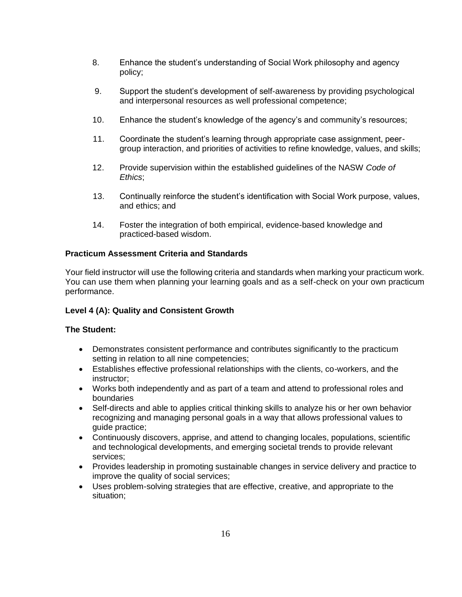- 8. Enhance the student's understanding of Social Work philosophy and agency policy;
- 9. Support the student's development of self-awareness by providing psychological and interpersonal resources as well professional competence;
- 10. Enhance the student's knowledge of the agency's and community's resources;
- 11. Coordinate the student's learning through appropriate case assignment, peergroup interaction, and priorities of activities to refine knowledge, values, and skills;
- 12. Provide supervision within the established guidelines of the NASW *Code of Ethics*;
- 13. Continually reinforce the student's identification with Social Work purpose, values, and ethics; and
- <span id="page-15-0"></span>14. Foster the integration of both empirical, evidence-based knowledge and practiced-based wisdom.

# **Practicum Assessment Criteria and Standards**

Your field instructor will use the following criteria and standards when marking your practicum work. You can use them when planning your learning goals and as a self-check on your own practicum performance.

# **Level 4 (A): Quality and Consistent Growth**

# **The Student:**

- Demonstrates consistent performance and contributes significantly to the practicum setting in relation to all nine competencies;
- Establishes effective professional relationships with the clients, co-workers, and the instructor;
- Works both independently and as part of a team and attend to professional roles and boundaries
- Self-directs and able to applies critical thinking skills to analyze his or her own behavior recognizing and managing personal goals in a way that allows professional values to guide practice;
- Continuously discovers, apprise, and attend to changing locales, populations, scientific and technological developments, and emerging societal trends to provide relevant services;
- Provides leadership in promoting sustainable changes in service delivery and practice to improve the quality of social services;
- Uses problem-solving strategies that are effective, creative, and appropriate to the situation;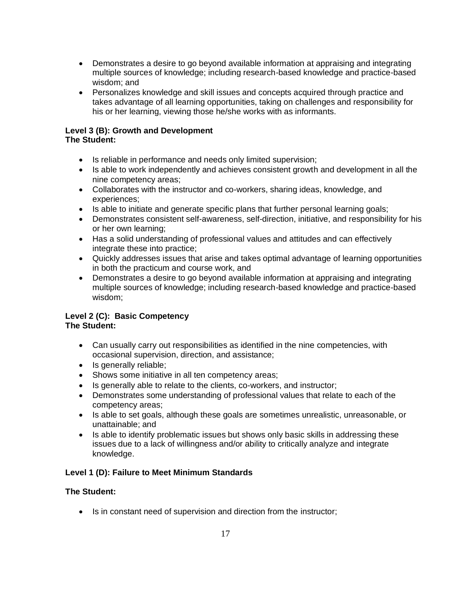- Demonstrates a desire to go beyond available information at appraising and integrating multiple sources of knowledge; including research-based knowledge and practice-based wisdom; and
- Personalizes knowledge and skill issues and concepts acquired through practice and takes advantage of all learning opportunities, taking on challenges and responsibility for his or her learning, viewing those he/she works with as informants.

# **Level 3 (B): Growth and Development The Student:**

- Is reliable in performance and needs only limited supervision;
- Is able to work independently and achieves consistent growth and development in all the nine competency areas;
- Collaborates with the instructor and co-workers, sharing ideas, knowledge, and experiences;
- Is able to initiate and generate specific plans that further personal learning goals;
- Demonstrates consistent self-awareness, self-direction, initiative, and responsibility for his or her own learning;
- Has a solid understanding of professional values and attitudes and can effectively integrate these into practice;
- Quickly addresses issues that arise and takes optimal advantage of learning opportunities in both the practicum and course work, and
- Demonstrates a desire to go beyond available information at appraising and integrating multiple sources of knowledge; including research-based knowledge and practice-based wisdom;

# **Level 2 (C): Basic Competency The Student:**

- Can usually carry out responsibilities as identified in the nine competencies, with occasional supervision, direction, and assistance;
- Is generally reliable;
- Shows some initiative in all ten competency areas;
- Is generally able to relate to the clients, co-workers, and instructor;
- Demonstrates some understanding of professional values that relate to each of the competency areas;
- Is able to set goals, although these goals are sometimes unrealistic, unreasonable, or unattainable; and
- Is able to identify problematic issues but shows only basic skills in addressing these issues due to a lack of willingness and/or ability to critically analyze and integrate knowledge.

# **Level 1 (D): Failure to Meet Minimum Standards**

# **The Student:**

• Is in constant need of supervision and direction from the instructor;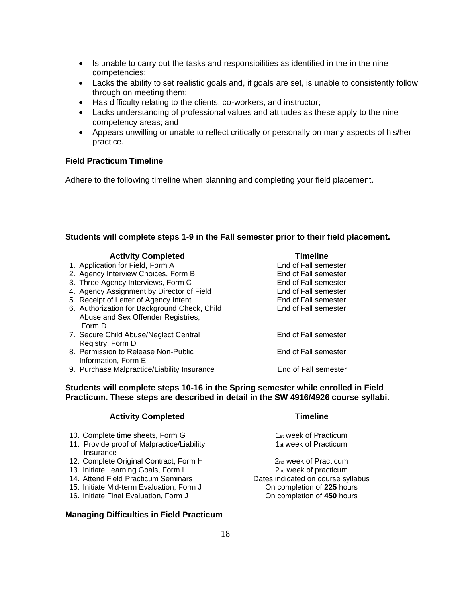- Is unable to carry out the tasks and responsibilities as identified in the in the nine competencies;
- Lacks the ability to set realistic goals and, if goals are set, is unable to consistently follow through on meeting them;
- Has difficulty relating to the clients, co-workers, and instructor;
- Lacks understanding of professional values and attitudes as these apply to the nine competency areas; and
- <span id="page-17-0"></span>• Appears unwilling or unable to reflect critically or personally on many aspects of his/her practice.

### **Field Practicum Timeline**

Adhere to the following timeline when planning and completing your field placement.

### **Students will complete steps 1-9 in the Fall semester prior to their field placement.**

# **Activity Completed Timeline**

- 1. Application for Field, Form A<br>
2. Agency Interview Choices. Form B<br>
2. Agency Interview Choices. Form B 2. Agency Interview Choices, Form B 3. Three Agency Interviews, Form C End of Fall semester 4. Agency Assignment by Director of Field End of Fall semester 5. Receipt of Letter of Agency Intent End of Fall semester 6. Authorization for Background Check, Child Abuse and Sex Offender Registries, Form D End of Fall semester 7. Secure Child Abuse/Neglect Central Registry. Form D End of Fall semester 8. Permission to Release Non-Public Information, Form E End of Fall semester
- 9. Purchase Malpractice/Liability Insurance Fall semester

# **Students will complete steps 10-16 in the Spring semester while enrolled in Field Practicum. These steps are described in detail in the SW 4916/4926 course syllabi**.

# **Activity Completed Timeline**

- 10. Complete time sheets, Form G  $1$ st week of Practicum
- 11. Provide proof of Malpractice/Liability Insurance
- 12. Complete Original Contract, Form H 2nd week of Practicum
- 
- 
- 15. Initiate Mid-term Evaluation, Form J On completion of **225** hours
- 16. Initiate Final Evaluation, Form J On completion of **450** hours

# **Managing Difficulties in Field Practicum**

1st week of Practicum

13. Initiate Learning Goals, Form I<br>14. Attend Field Practicum Seminars **14. Attend Field Practicum Seminars** Dates indicated on course sv Dates indicated on course syllabus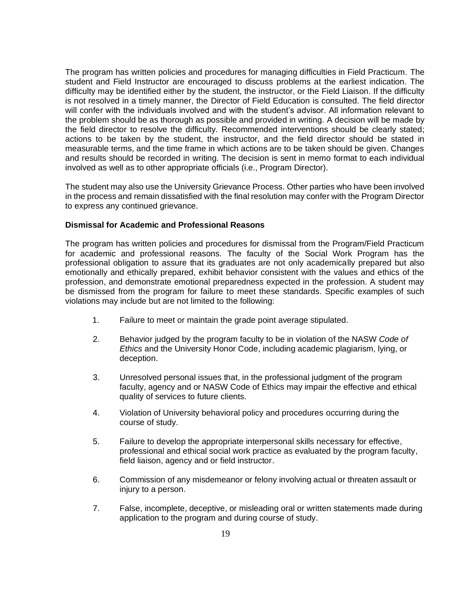The program has written policies and procedures for managing difficulties in Field Practicum. The student and Field Instructor are encouraged to discuss problems at the earliest indication. The difficulty may be identified either by the student, the instructor, or the Field Liaison. If the difficulty is not resolved in a timely manner, the Director of Field Education is consulted. The field director will confer with the individuals involved and with the student's advisor. All information relevant to the problem should be as thorough as possible and provided in writing. A decision will be made by the field director to resolve the difficulty. Recommended interventions should be clearly stated; actions to be taken by the student, the instructor, and the field director should be stated in measurable terms, and the time frame in which actions are to be taken should be given. Changes and results should be recorded in writing. The decision is sent in memo format to each individual involved as well as to other appropriate officials (i.e., Program Director).

The student may also use the University Grievance Process. Other parties who have been involved in the process and remain dissatisfied with the final resolution may confer with the Program Director to express any continued grievance.

### **Dismissal for Academic and Professional Reasons**

The program has written policies and procedures for dismissal from the Program/Field Practicum for academic and professional reasons. The faculty of the Social Work Program has the professional obligation to assure that its graduates are not only academically prepared but also emotionally and ethically prepared, exhibit behavior consistent with the values and ethics of the profession, and demonstrate emotional preparedness expected in the profession. A student may be dismissed from the program for failure to meet these standards. Specific examples of such violations may include but are not limited to the following:

- <span id="page-18-0"></span>1. Failure to meet or maintain the grade point average stipulated.
- 2. Behavior judged by the program faculty to be in violation of the NASW *Code of Ethics* and the University Honor Code, including academic plagiarism, lying, or deception.
- 3. Unresolved personal issues that, in the professional judgment of the program faculty, agency and or NASW Code of Ethics may impair the effective and ethical quality of services to future clients.
- 4. Violation of University behavioral policy and procedures occurring during the course of study.
- 5. Failure to develop the appropriate interpersonal skills necessary for effective, professional and ethical social work practice as evaluated by the program faculty, field liaison, agency and or field instructor.
- 6. Commission of any misdemeanor or felony involving actual or threaten assault or injury to a person.
- 7. False, incomplete, deceptive, or misleading oral or written statements made during application to the program and during course of study.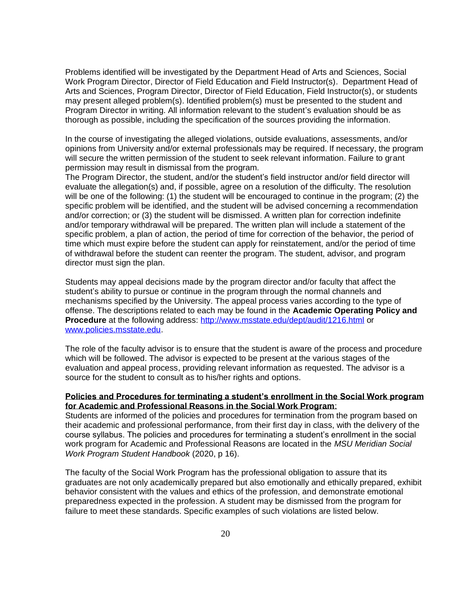Problems identified will be investigated by the Department Head of Arts and Sciences, Social Work Program Director, Director of Field Education and Field Instructor(s). Department Head of Arts and Sciences, Program Director, Director of Field Education, Field Instructor(s), or students may present alleged problem(s). Identified problem(s) must be presented to the student and Program Director in writing. All information relevant to the student's evaluation should be as thorough as possible, including the specification of the sources providing the information.

In the course of investigating the alleged violations, outside evaluations, assessments, and/or opinions from University and/or external professionals may be required. If necessary, the program will secure the written permission of the student to seek relevant information. Failure to grant permission may result in dismissal from the program.

The Program Director, the student, and/or the student's field instructor and/or field director will evaluate the allegation(s) and, if possible, agree on a resolution of the difficulty. The resolution will be one of the following: (1) the student will be encouraged to continue in the program; (2) the specific problem will be identified, and the student will be advised concerning a recommendation and/or correction; or (3) the student will be dismissed. A written plan for correction indefinite and/or temporary withdrawal will be prepared. The written plan will include a statement of the specific problem, a plan of action, the period of time for correction of the behavior, the period of time which must expire before the student can apply for reinstatement, and/or the period of time of withdrawal before the student can reenter the program. The student, advisor, and program director must sign the plan.

Students may appeal decisions made by the program director and/or faculty that affect the student's ability to pursue or continue in the program through the normal channels and mechanisms specified by the University. The appeal process varies according to the type of offense. The descriptions related to each may be found in the **Academic Operating Policy and Procedure** at the following address:<http://www.msstate.edu/dept/audit/1216.html> or [www.policies.msstate.edu.](http://www.policies.msstate.edu/)

The role of the faculty advisor is to ensure that the student is aware of the process and procedure which will be followed. The advisor is expected to be present at the various stages of the evaluation and appeal process, providing relevant information as requested. The advisor is a source for the student to consult as to his/her rights and options.

## **Policies and Procedures for terminating a student's enrollment in the Social Work program for Academic and Professional Reasons in the Social Work Program**:

Students are informed of the policies and procedures for termination from the program based on their academic and professional performance, from their first day in class, with the delivery of the course syllabus. The policies and procedures for terminating a student's enrollment in the social work program for Academic and Professional Reasons are located in the *MSU Meridian Social Work Program Student Handbook* (2020, p 16).

The faculty of the Social Work Program has the professional obligation to assure that its graduates are not only academically prepared but also emotionally and ethically prepared, exhibit behavior consistent with the values and ethics of the profession, and demonstrate emotional preparedness expected in the profession. A student may be dismissed from the program for failure to meet these standards. Specific examples of such violations are listed below.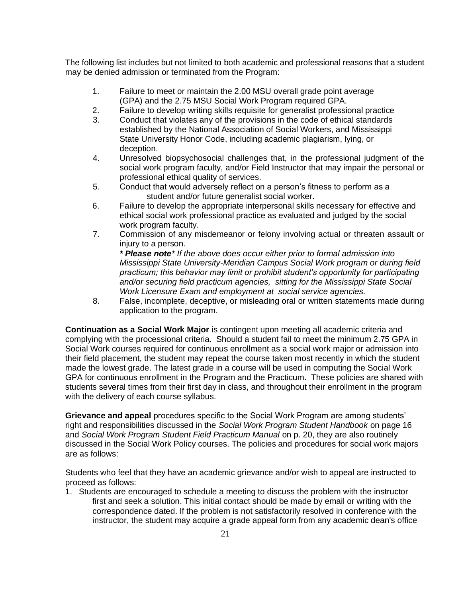The following list includes but not limited to both academic and professional reasons that a student may be denied admission or terminated from the Program:

- 1. Failure to meet or maintain the 2.00 MSU overall grade point average (GPA) and the 2.75 MSU Social Work Program required GPA.
- 2. Failure to develop writing skills requisite for generalist professional practice
- 3. Conduct that violates any of the provisions in the code of ethical standards established by the National Association of Social Workers, and Mississippi State University Honor Code, including academic plagiarism, lying, or deception.
- 4. Unresolved biopsychosocial challenges that, in the professional judgment of the social work program faculty, and/or Field Instructor that may impair the personal or professional ethical quality of services.
- 5. Conduct that would adversely reflect on a person's fitness to perform as a student and/or future generalist social worker.
- 6. Failure to develop the appropriate interpersonal skills necessary for effective and ethical social work professional practice as evaluated and judged by the social work program faculty.
- 7. Commission of any misdemeanor or felony involving actual or threaten assault or injury to a person.

*\* Please note\* If the above does occur either prior to formal admission into Mississippi State University-Meridian Campus Social Work program or during field practicum; this behavior may limit or prohibit student's opportunity for participating and/or securing field practicum agencies, sitting for the Mississippi State Social Work Licensure Exam and employment at social service agencies.*

 8. False, incomplete, deceptive, or misleading oral or written statements made during application to the program.

**Continuation as a Social Work Major** is contingent upon meeting all academic criteria and complying with the processional criteria. Should a student fail to meet the minimum 2.75 GPA in Social Work courses required for continuous enrollment as a social work major or admission into their field placement, the student may repeat the course taken most recently in which the student made the lowest grade. The latest grade in a course will be used in computing the Social Work GPA for continuous enrollment in the Program and the Practicum. These policies are shared with students several times from their first day in class, and throughout their enrollment in the program with the delivery of each course syllabus.

**Grievance and appeal** procedures specific to the Social Work Program are among students' right and responsibilities discussed in the *Social Work Program Student Handbook* on page 16 and *Social Work Program Student Field Practicum Manual* on p. 20, they are also routinely discussed in the Social Work Policy courses. The policies and procedures for social work majors are as follows:

Students who feel that they have an academic grievance and/or wish to appeal are instructed to proceed as follows:

1. Students are encouraged to schedule a meeting to discuss the problem with the instructor first and seek a solution. This initial contact should be made by email or writing with the correspondence dated. If the problem is not satisfactorily resolved in conference with the instructor, the student may acquire a grade appeal form from any academic dean's office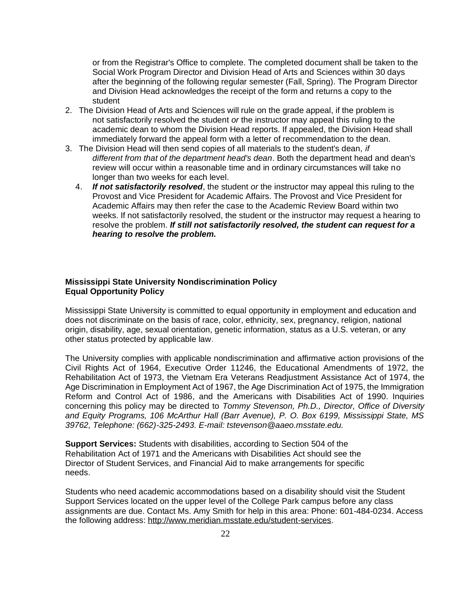or from the Registrar's Office to complete. The completed document shall be taken to the Social Work Program Director and Division Head of Arts and Sciences within 30 days after the beginning of the following regular semester (Fall, Spring). The Program Director and Division Head acknowledges the receipt of the form and returns a copy to the student

- 2. The Division Head of Arts and Sciences will rule on the grade appeal, if the problem is not satisfactorily resolved the student *or* the instructor may appeal this ruling to the academic dean to whom the Division Head reports. If appealed, the Division Head shall immediately forward the appeal form with a letter of recommendation to the dean.
- 3. The Division Head will then send copies of all materials to the student's dean, *if different from that of the department head's dean*. Both the department head and dean's review will occur within a reasonable time and in ordinary circumstances will take no longer than two weeks for each level.
	- 4. *If not satisfactorily resolved*, the student *or* the instructor may appeal this ruling to the Provost and Vice President for Academic Affairs. The Provost and Vice President for Academic Affairs may then refer the case to the Academic Review Board within two weeks. If not satisfactorily resolved, the student or the instructor may request a hearing to resolve the problem. *If still not satisfactorily resolved, the student can request for a hearing to resolve the problem.*

# <span id="page-21-0"></span>**Mississippi State University Nondiscrimination Policy Equal Opportunity Policy**

Mississippi State University is committed to equal opportunity in employment and education and does not discriminate on the basis of race, color, ethnicity, sex, pregnancy, religion, national origin, disability, age, sexual orientation, genetic information, status as a U.S. veteran, or any other status protected by applicable law.

The University complies with applicable nondiscrimination and affirmative action provisions of the Civil Rights Act of 1964, Executive Order 11246, the Educational Amendments of 1972, the Rehabilitation Act of 1973, the Vietnam Era Veterans Readjustment Assistance Act of 1974, the Age Discrimination in Employment Act of 1967, the Age Discrimination Act of 1975, the Immigration Reform and Control Act of 1986, and the Americans with Disabilities Act of 1990. Inquiries concerning this policy may be directed to *Tommy Stevenson, Ph.D., Director, Office of Diversity and Equity Programs, 106 McArthur Hall (Barr Avenue), P. O. Box 6199, Mississippi State, MS 39762, Telephone: (662)-325-2493. E-mail: tstevenson@aaeo.msstate.edu.* 

**Support Services:** Students with disabilities, according to Section 504 of the Rehabilitation Act of 1971 and the Americans with Disabilities Act should see the Director of Student Services, and Financial Aid to make arrangements for specific needs.

Students who need academic accommodations based on a disability should visit the Student Support Services located on the upper level of the College Park campus before any class assignments are due. Contact Ms. Amy Smith for help in this area: Phone: 601-484-0234. Access the following address: [http://www.meridian.msstate.edu/student-services.](http://www.meridian.msstate.edu/student-services)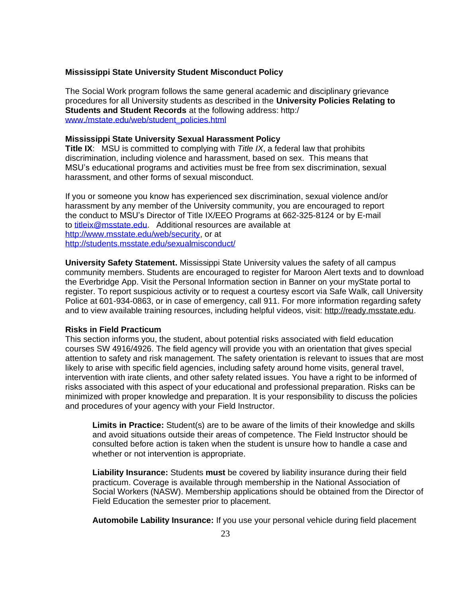### **Mississippi State University Student Misconduct Policy**

The Social Work program follows the same general academic and disciplinary grievance procedures for all University students as described in the **University Policies Relating to Students and Student Records** at the following address: http:/ [www./mstate.edu/web/student\\_policies.html](http://www./mstate.edu/web/student_policies.html)

### **Mississippi State University Sexual Harassment Policy**

**Title IX**: MSU is committed to complying with *Title IX*, a federal law that prohibits discrimination, including violence and harassment, based on sex. This means that MSU's educational programs and activities must be free from sex discrimination, sexual harassment, and other forms of sexual misconduct.

If you or someone you know has experienced sex discrimination, sexual violence and/or harassment by any member of the University community, you are encouraged to report the conduct to MSU's Director of Title IX/EEO Programs at 662-325-8124 or by E-mail to [titleix@msstate.edu.](mailto:titleix@msstate.edu) Additional resources are available at [http://www.msstate.edu/web/security,](http://www.msstate.edu/web/security) or at <http://students.msstate.edu/sexualmisconduct/>

**University Safety Statement.** Mississippi State University values the safety of all campus community members. Students are encouraged to register for Maroon Alert texts and to download the Everbridge App. Visit the Personal Information section in Banner on your myState portal to register. To report suspicious activity or to request a courtesy escort via Safe Walk, call University Police at 601-934-0863, or in case of emergency, call 911. For more information regarding safety and to view available training resources, including helpful videos, visit: [http://ready.msstate.edu.](http://ready.msstate.edu/)

### <span id="page-22-0"></span>**Risks in Field Practicum**

This section informs you, the student, about potential risks associated with field education courses SW 4916/4926. The field agency will provide you with an orientation that gives special attention to safety and risk management. The safety orientation is relevant to issues that are most likely to arise with specific field agencies, including safety around home visits, general travel, intervention with irate clients, and other safety related issues. You have a right to be informed of risks associated with this aspect of your educational and professional preparation. Risks can be minimized with proper knowledge and preparation. It is your responsibility to discuss the policies and procedures of your agency with your Field Instructor.

**Limits in Practice:** Student(s) are to be aware of the limits of their knowledge and skills and avoid situations outside their areas of competence. The Field Instructor should be consulted before action is taken when the student is unsure how to handle a case and whether or not intervention is appropriate.

**Liability Insurance:** Students **must** be covered by liability insurance during their field practicum. Coverage is available through membership in the National Association of Social Workers (NASW). Membership applications should be obtained from the Director of Field Education the semester prior to placement.

**Automobile Lability Insurance:** If you use your personal vehicle during field placement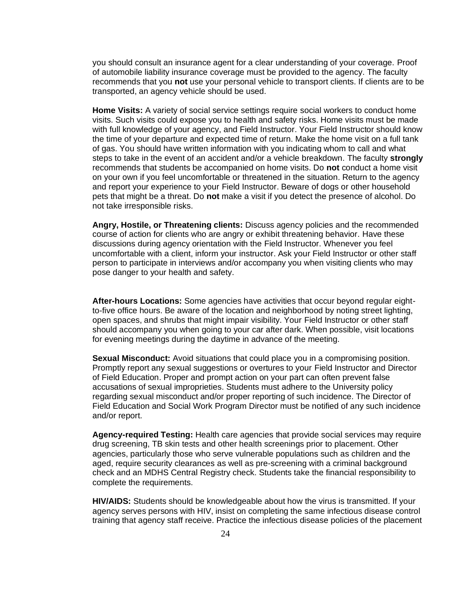you should consult an insurance agent for a clear understanding of your coverage. Proof of automobile liability insurance coverage must be provided to the agency. The faculty recommends that you **not** use your personal vehicle to transport clients. If clients are to be transported, an agency vehicle should be used.

**Home Visits:** A variety of social service settings require social workers to conduct home visits. Such visits could expose you to health and safety risks. Home visits must be made with full knowledge of your agency, and Field Instructor. Your Field Instructor should know the time of your departure and expected time of return. Make the home visit on a full tank of gas. You should have written information with you indicating whom to call and what steps to take in the event of an accident and/or a vehicle breakdown. The faculty **strongly** recommends that students be accompanied on home visits. Do **not** conduct a home visit on your own if you feel uncomfortable or threatened in the situation. Return to the agency and report your experience to your Field Instructor. Beware of dogs or other household pets that might be a threat. Do **not** make a visit if you detect the presence of alcohol. Do not take irresponsible risks.

**Angry, Hostile, or Threatening clients:** Discuss agency policies and the recommended course of action for clients who are angry or exhibit threatening behavior. Have these discussions during agency orientation with the Field Instructor. Whenever you feel uncomfortable with a client, inform your instructor. Ask your Field Instructor or other staff person to participate in interviews and/or accompany you when visiting clients who may pose danger to your health and safety.

**After-hours Locations:** Some agencies have activities that occur beyond regular eightto-five office hours. Be aware of the location and neighborhood by noting street lighting, open spaces, and shrubs that might impair visibility. Your Field Instructor or other staff should accompany you when going to your car after dark. When possible, visit locations for evening meetings during the daytime in advance of the meeting.

**Sexual Misconduct:** Avoid situations that could place you in a compromising position. Promptly report any sexual suggestions or overtures to your Field Instructor and Director of Field Education. Proper and prompt action on your part can often prevent false accusations of sexual improprieties. Students must adhere to the University policy regarding sexual misconduct and/or proper reporting of such incidence. The Director of Field Education and Social Work Program Director must be notified of any such incidence and/or report.

**Agency-required Testing:** Health care agencies that provide social services may require drug screening, TB skin tests and other health screenings prior to placement. Other agencies, particularly those who serve vulnerable populations such as children and the aged, require security clearances as well as pre-screening with a criminal background check and an MDHS Central Registry check. Students take the financial responsibility to complete the requirements.

**HIV/AIDS:** Students should be knowledgeable about how the virus is transmitted. If your agency serves persons with HIV, insist on completing the same infectious disease control training that agency staff receive. Practice the infectious disease policies of the placement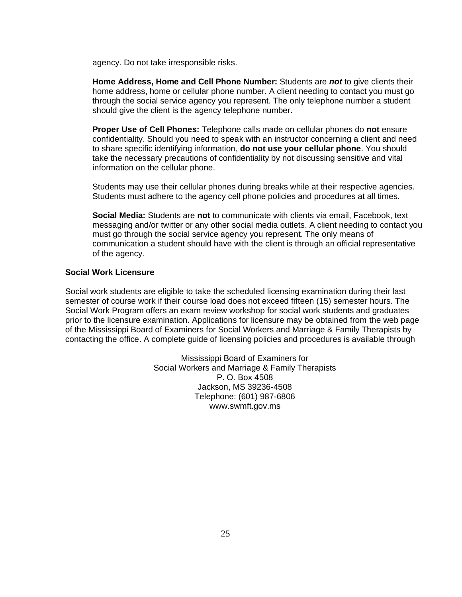agency. Do not take irresponsible risks.

**Home Address, Home and Cell Phone Number:** Students are *not* to give clients their home address, home or cellular phone number. A client needing to contact you must go through the social service agency you represent. The only telephone number a student should give the client is the agency telephone number.

**Proper Use of Cell Phones:** Telephone calls made on cellular phones do **not** ensure confidentiality. Should you need to speak with an instructor concerning a client and need to share specific identifying information, **do not use your cellular phone**. You should take the necessary precautions of confidentiality by not discussing sensitive and vital information on the cellular phone.

Students may use their cellular phones during breaks while at their respective agencies. Students must adhere to the agency cell phone policies and procedures at all times.

<span id="page-24-0"></span>**Social Media:** Students are **not** to communicate with clients via email, Facebook, text messaging and/or twitter or any other social media outlets. A client needing to contact you must go through the social service agency you represent. The only means of communication a student should have with the client is through an official representative of the agency.

### **Social Work Licensure**

Social work students are eligible to take the scheduled licensing examination during their last semester of course work if their course load does not exceed fifteen (15) semester hours. The Social Work Program offers an exam review workshop for social work students and graduates prior to the licensure examination. Applications for licensure may be obtained from the web page of the Mississippi Board of Examiners for Social Workers and Marriage & Family Therapists by contacting the office. A complete guide of licensing policies and procedures is available through

> Mississippi Board of Examiners for Social Workers and Marriage & Family Therapists P. O. Box 4508 Jackson, MS 39236-4508 Telephone: (601) 987-6806 www.swmft.gov.ms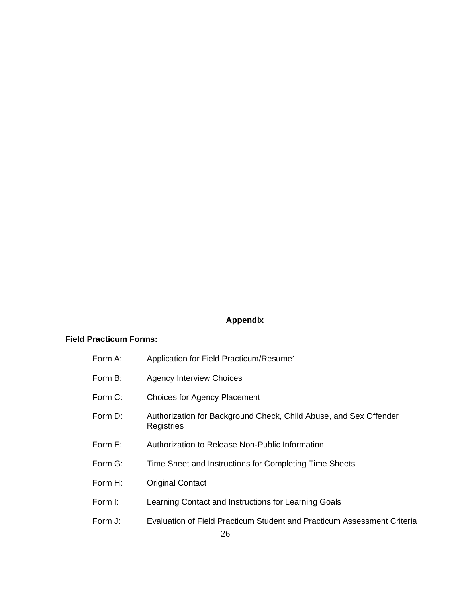# <span id="page-25-0"></span>**Appendix**

# **Field Practicum Forms:**

| Form A: | Application for Field Practicum/Resume'                                         |
|---------|---------------------------------------------------------------------------------|
| Form B: | <b>Agency Interview Choices</b>                                                 |
| Form C: | <b>Choices for Agency Placement</b>                                             |
| Form D: | Authorization for Background Check, Child Abuse, and Sex Offender<br>Registries |
| Form E: | Authorization to Release Non-Public Information                                 |
| Form G: | Time Sheet and Instructions for Completing Time Sheets                          |
| Form H: | <b>Original Contact</b>                                                         |
| Form I: | Learning Contact and Instructions for Learning Goals                            |
| Form J: | Evaluation of Field Practicum Student and Practicum Assessment Criteria<br>26   |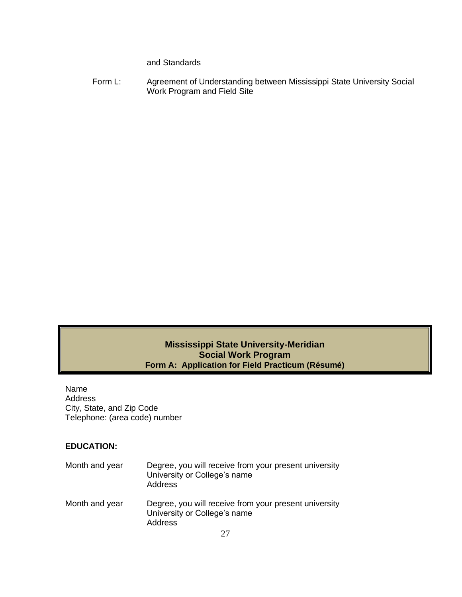and Standards

Form L: Agreement of Understanding between Mississippi State University Social Work Program and Field Site

# **Mississippi State University-Meridian Social Work Program Form A: Application for Field Practicum (Résumé)**

Name Address City, State, and Zip Code Telephone: (area code) number

# **EDUCATION:**

| Month and year | Degree, you will receive from your present university<br>University or College's name<br>Address |
|----------------|--------------------------------------------------------------------------------------------------|
| Month and year | Degree, you will receive from your present university<br>University or College's name<br>Address |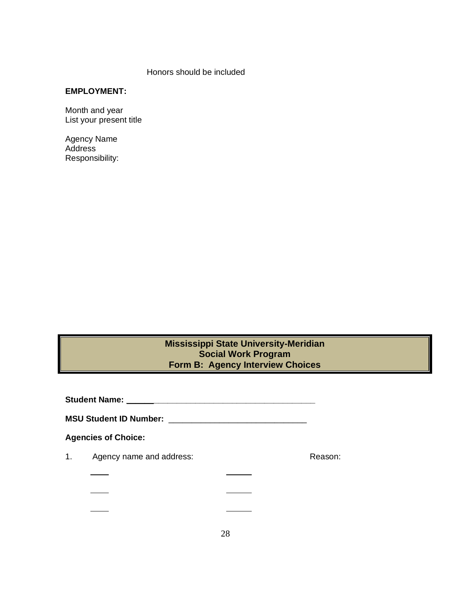# Honors should be included

# **EMPLOYMENT:**

Month and year List your present title

Agency Name Address Responsibility:

# **Mississippi State University-Meridian Social Work Program Form B: Agency Interview Choices**

**Student Name: \_\_\_\_\_\_\_\_\_\_\_\_\_\_\_\_\_\_\_\_\_\_\_\_\_\_\_\_\_\_\_\_\_\_\_\_\_\_\_\_\_**

**MSU Student ID Number:** \_\_\_\_\_\_\_\_\_\_\_\_\_\_\_\_\_\_\_\_\_\_\_\_\_\_\_\_\_\_

**Agencies of Choice:**

I

٦

Ξ

1. Agency name and address: Reason: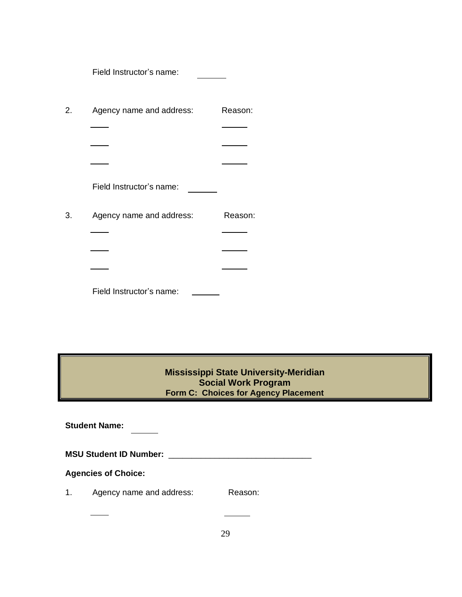Field Instructor's name:

| 2. | Agency name and address: | Reason: |
|----|--------------------------|---------|
|    |                          |         |
|    |                          |         |
|    |                          |         |
|    | Field Instructor's name: |         |
| 3. | Agency name and address: | Reason: |
|    |                          |         |
|    |                          |         |
|    |                          |         |
|    | Field Instructor's name: |         |

# **Mississippi State University-Meridian Social Work Program Form C: Choices for Agency Placement**

**Student Name: MSU Student ID Number:** \_\_\_\_\_\_\_\_\_\_\_\_\_\_\_\_\_\_\_\_\_\_\_\_\_\_\_\_\_\_\_ **Agencies of Choice:** 1. Agency name and address: Reason: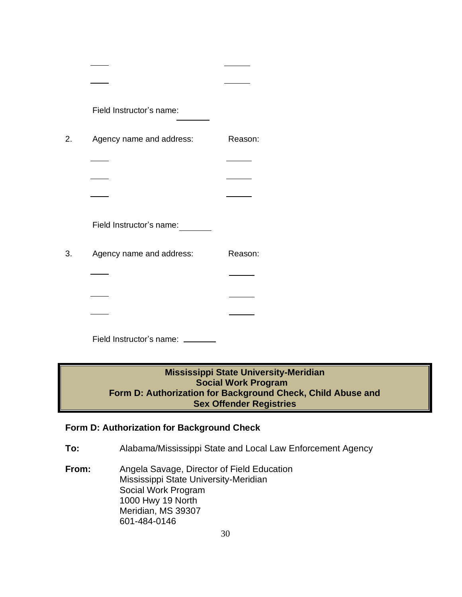|    | Field Instructor's name: |         |
|----|--------------------------|---------|
| 2. | Agency name and address: | Reason: |
|    |                          |         |
|    |                          |         |
|    |                          |         |
|    | Field Instructor's name: |         |
| 3. | Agency name and address: | Reason: |
|    |                          |         |
|    |                          |         |
|    |                          |         |
|    |                          |         |

Field Instructor's name: \_\_\_\_\_\_\_

**Mississippi State University-Meridian Social Work Program Form D: Authorization for Background Check, Child Abuse and Sex Offender Registries**

# **Form D: Authorization for Background Check**

- **To:** Alabama/Mississippi State and Local Law Enforcement Agency
- **From:** Angela Savage, Director of Field Education Mississippi State University-Meridian Social Work Program 1000 Hwy 19 North Meridian, MS 39307 601-484-0146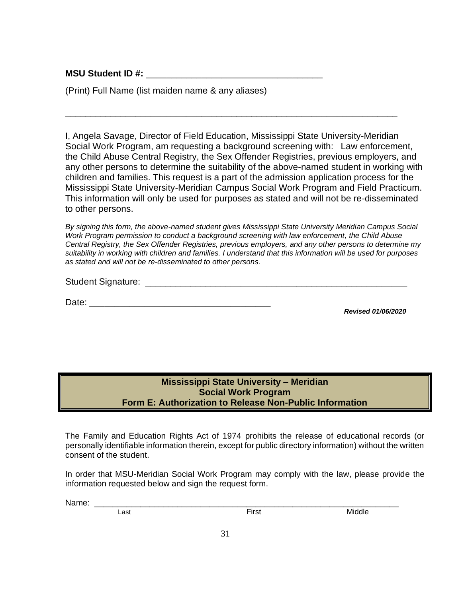# **MSU Student ID #:**  $\blacksquare$

(Print) Full Name (list maiden name & any aliases)

I, Angela Savage, Director of Field Education, Mississippi State University-Meridian Social Work Program, am requesting a background screening with: Law enforcement, the Child Abuse Central Registry, the Sex Offender Registries, previous employers, and any other persons to determine the suitability of the above-named student in working with children and families. This request is a part of the admission application process for the Mississippi State University-Meridian Campus Social Work Program and Field Practicum. This information will only be used for purposes as stated and will not be re-disseminated to other persons.

\_\_\_\_\_\_\_\_\_\_\_\_\_\_\_\_\_\_\_\_\_\_\_\_\_\_\_\_\_\_\_\_\_\_\_\_\_\_\_\_\_\_\_\_\_\_\_\_\_\_\_\_\_\_\_\_\_\_\_\_\_\_\_\_\_\_

*By signing this form, the above-named student gives Mississippi State University Meridian Campus Social Work Program permission to conduct a background screening with law enforcement, the Child Abuse Central Registry, the Sex Offender Registries, previous employers, and any other persons to determine my suitability in working with children and families. I understand that this information will be used for purposes as stated and will not be re-disseminated to other persons.*

Student Signature: \_\_\_\_\_\_\_\_\_\_\_\_\_\_\_\_\_\_\_\_\_\_\_\_\_\_\_\_\_\_\_\_\_\_\_\_\_\_\_\_\_\_\_\_\_\_\_\_\_\_\_\_

Date: \_\_\_\_\_\_\_\_\_\_\_\_\_\_\_\_\_\_\_\_\_\_\_\_\_\_\_\_\_\_\_\_\_\_\_\_

*Revised 01/06/2020*

# **Mississippi State University – Meridian Social Work Program Form E: Authorization to Release Non-Public Information**

The Family and Education Rights Act of 1974 prohibits the release of educational records (or personally identifiable information therein, except for public directory information) without the written consent of the student.

In order that MSU-Meridian Social Work Program may comply with the law, please provide the information requested below and sign the request form.

Name: \_\_\_\_\_\_\_\_\_\_\_\_\_\_\_\_\_\_\_\_\_\_\_\_\_\_\_\_\_\_\_\_\_\_\_\_\_\_\_\_\_\_\_\_\_\_\_\_\_\_\_\_\_\_\_\_\_\_\_\_\_\_\_\_\_\_

Last **Example 2018** Class Controller First **First** Class Controller Middle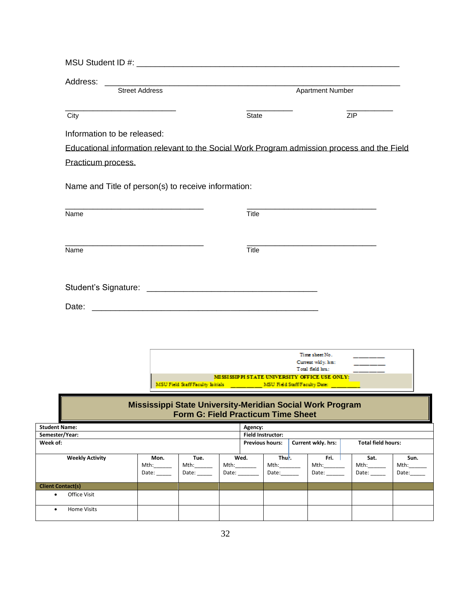|                                                                                             |                                     |                             |                                      | <u> 1989 - Johann Stoff, deutscher Stoff, der Stoff, der Stoff, der Stoff, der Stoff, der Stoff, der Stoff, der S</u> |                                                           |                              |                               |
|---------------------------------------------------------------------------------------------|-------------------------------------|-----------------------------|--------------------------------------|-----------------------------------------------------------------------------------------------------------------------|-----------------------------------------------------------|------------------------------|-------------------------------|
|                                                                                             | Street Address                      |                             |                                      |                                                                                                                       | <b>Apartment Number</b>                                   |                              |                               |
| City                                                                                        |                                     |                             |                                      | State                                                                                                                 |                                                           | $\overline{ZIP}$             |                               |
| Information to be released:                                                                 |                                     |                             |                                      |                                                                                                                       |                                                           |                              |                               |
| Educational information relevant to the Social Work Program admission process and the Field |                                     |                             |                                      |                                                                                                                       |                                                           |                              |                               |
| Practicum process.                                                                          |                                     |                             |                                      |                                                                                                                       |                                                           |                              |                               |
| Name and Title of person(s) to receive information:                                         |                                     |                             |                                      |                                                                                                                       |                                                           |                              |                               |
| Name                                                                                        |                                     |                             |                                      | Title                                                                                                                 |                                                           |                              |                               |
| Name                                                                                        |                                     |                             |                                      | Title                                                                                                                 |                                                           |                              |                               |
|                                                                                             |                                     |                             |                                      |                                                                                                                       |                                                           |                              |                               |
|                                                                                             |                                     |                             |                                      |                                                                                                                       |                                                           |                              |                               |
|                                                                                             |                                     |                             |                                      |                                                                                                                       |                                                           |                              |                               |
|                                                                                             |                                     |                             |                                      |                                                                                                                       | Time sheet No.                                            |                              |                               |
|                                                                                             |                                     |                             |                                      |                                                                                                                       | Current widy, his:<br>Total field hrs.:                   |                              |                               |
|                                                                                             |                                     |                             |                                      | MSU Field Staff Faculty Initials _____________ MSU Field Staff Faculty Date:                                          | MISSISSIPPI STATE UNIVERSITY OFFICE USE ONLY:             |                              |                               |
|                                                                                             |                                     |                             |                                      |                                                                                                                       |                                                           |                              |                               |
|                                                                                             |                                     |                             |                                      | <b>Form G: Field Practicum Time Sheet</b>                                                                             | Mississippi State University-Meridian Social Work Program |                              |                               |
|                                                                                             |                                     |                             |                                      | Agency:                                                                                                               |                                                           |                              |                               |
| <b>Student Name:</b><br>Semester/Year:<br>Week of:                                          |                                     |                             |                                      | <b>Field Instructor:</b><br><b>Previous hours:</b>                                                                    | Current wkly. hrs:                                        | <b>Total field hours:</b>    |                               |
| <b>Weekly Activity</b>                                                                      | Mon.<br>Mth:________<br>Date: _____ | Tue.<br>Mth:<br>Date: _____ | Mth: $\qquad \qquad$<br>Date: $\_\_$ | Thur.<br>Wed.<br>Date: $\_\_$                                                                                         | Fri.<br>Mth:<br>Date: $\_\_$                              | Sat.<br>Mth:<br>Date: $\_\_$ | Sun.<br>Date: $\qquad \qquad$ |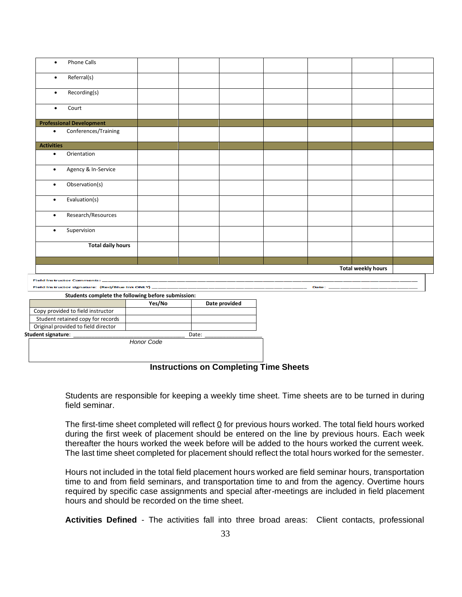| $\bullet$                         | <b>Phone Calls</b>                                 |                   |       |               |       |                           |  |
|-----------------------------------|----------------------------------------------------|-------------------|-------|---------------|-------|---------------------------|--|
| $\bullet$                         | Referral(s)                                        |                   |       |               |       |                           |  |
| $\bullet$                         | Recording(s)                                       |                   |       |               |       |                           |  |
| Court<br>$\bullet$                |                                                    |                   |       |               |       |                           |  |
| <b>Professional Development</b>   |                                                    |                   |       |               |       |                           |  |
| $\bullet$                         | Conferences/Training                               |                   |       |               |       |                           |  |
| <b>Activities</b>                 |                                                    |                   |       |               |       |                           |  |
| $\bullet$                         | Orientation                                        |                   |       |               |       |                           |  |
|                                   |                                                    |                   |       |               |       |                           |  |
| $\bullet$                         | Agency & In-Service                                |                   |       |               |       |                           |  |
| $\bullet$                         | Observation(s)                                     |                   |       |               |       |                           |  |
| $\bullet$                         | Evaluation(s)                                      |                   |       |               |       |                           |  |
| $\bullet$                         | Research/Resources                                 |                   |       |               |       |                           |  |
| $\bullet$                         | Supervision                                        |                   |       |               |       |                           |  |
|                                   | <b>Total daily hours</b>                           |                   |       |               |       |                           |  |
|                                   |                                                    |                   |       |               |       |                           |  |
|                                   |                                                    |                   |       |               |       |                           |  |
|                                   |                                                    |                   |       |               |       | <b>Total weekly hours</b> |  |
| <b>Field Instructor Comments:</b> |                                                    |                   |       |               |       |                           |  |
|                                   | Field Instructor signature: (Red/Blue Ink ONLY) _  |                   |       |               | Date: |                           |  |
|                                   | Students complete the following before submission: |                   |       |               |       |                           |  |
|                                   |                                                    | Yes/No            |       | Date provided |       |                           |  |
| Copy provided to field instructor |                                                    |                   |       |               |       |                           |  |
|                                   | Student retained copy for records                  |                   |       |               |       |                           |  |
|                                   | Original provided to field director                |                   |       |               |       |                           |  |
| Student signature:                |                                                    |                   | Date: |               |       |                           |  |
|                                   |                                                    | <b>Honor Code</b> |       |               |       |                           |  |
|                                   |                                                    |                   |       |               |       |                           |  |
|                                   |                                                    |                   |       |               |       |                           |  |

<span id="page-32-0"></span> **Instructions on Completing Time Sheets**

Students are responsible for keeping a weekly time sheet. Time sheets are to be turned in during field seminar.

The first-time sheet completed will reflect  $Q$  for previous hours worked. The total field hours worked during the first week of placement should be entered on the line by previous hours. Each week thereafter the hours worked the week before will be added to the hours worked the current week. The last time sheet completed for placement should reflect the total hours worked for the semester.

Hours not included in the total field placement hours worked are field seminar hours, transportation time to and from field seminars, and transportation time to and from the agency. Overtime hours required by specific case assignments and special after-meetings are included in field placement hours and should be recorded on the time sheet.

**Activities Defined** - The activities fall into three broad areas: Client contacts, professional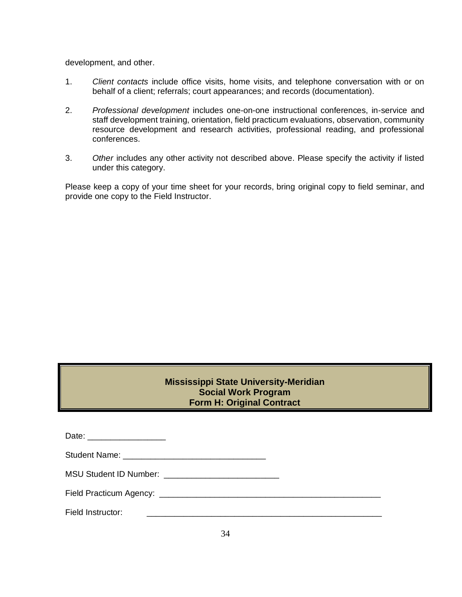development, and other.

- 1. *Client contacts* include office visits, home visits, and telephone conversation with or on behalf of a client; referrals; court appearances; and records (documentation).
- 2. *Professional development* includes one-on-one instructional conferences, in-service and staff development training, orientation, field practicum evaluations, observation, community resource development and research activities, professional reading, and professional conferences.
- 3. *Other* includes any other activity not described above. Please specify the activity if listed under this category.

Please keep a copy of your time sheet for your records, bring original copy to field seminar, and provide one copy to the Field Instructor.

# **Mississippi State University-Meridian Social Work Program Form H: Original Contract**

| Date: ___________________                            |                                                                 |  |
|------------------------------------------------------|-----------------------------------------------------------------|--|
|                                                      |                                                                 |  |
| MSU Student ID Number: _____________________________ |                                                                 |  |
|                                                      |                                                                 |  |
| Field Instructor:                                    | <u> 1980 - Johann Barn, margaret eta biztanleria (h. 1980).</u> |  |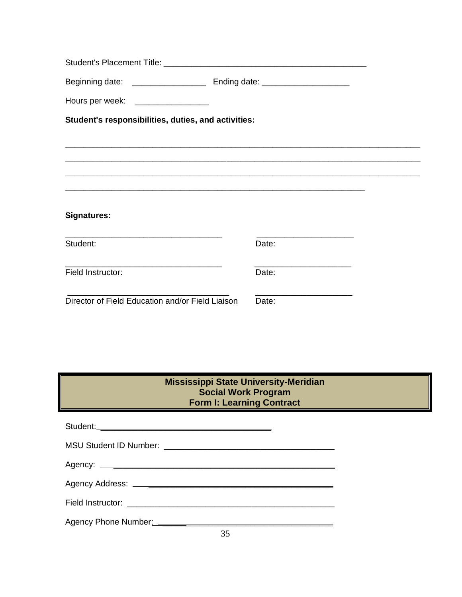| Hours per week: _________________                                                                                     |       |  |
|-----------------------------------------------------------------------------------------------------------------------|-------|--|
| Student's responsibilities, duties, and activities:                                                                   |       |  |
|                                                                                                                       |       |  |
| <u> 1989 - Johann Stoff, deutscher Stoff, der Stoff, der Stoff, der Stoff, der Stoff, der Stoff, der Stoff, der S</u> |       |  |
| <u> 1990 - John Stone, Amerikaanse kommunister († 1900)</u>                                                           |       |  |
| <b>Signatures:</b>                                                                                                    |       |  |
| Student:                                                                                                              | Date: |  |
| Field Instructor:                                                                                                     | Date: |  |
| Director of Field Education and/or Field Liaison                                                                      | Date: |  |

# Mississippi State University-Meridian<br>Social Work Program<br>Form I: Learning Contract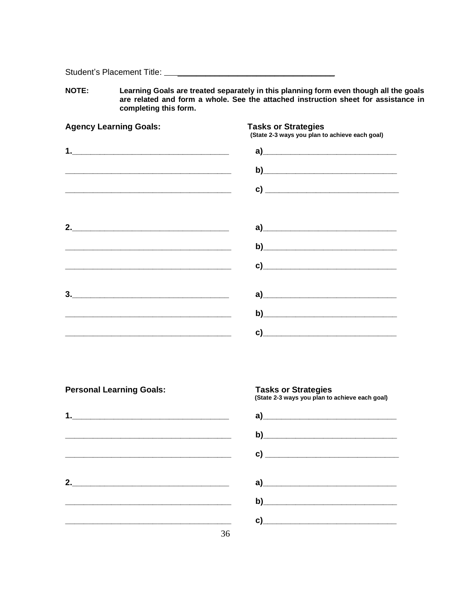NOTE: Learning Goals are treated separately in this planning form even though all the goals are related and form a whole. See the attached instruction sheet for assistance in completing this form.

| <b>Agency Learning Goals:</b>                                                                                            | <b>Tasks or Strategies</b><br>(State 2-3 ways you plan to achieve each goal) |
|--------------------------------------------------------------------------------------------------------------------------|------------------------------------------------------------------------------|
| <u> 1989 - Johann John Stein, markin fan it fjort fan it fjort fan it fjort fan it fjort fan it fjort fan it fjort f</u> |                                                                              |
|                                                                                                                          |                                                                              |
|                                                                                                                          |                                                                              |
| 2.                                                                                                                       |                                                                              |
|                                                                                                                          |                                                                              |
|                                                                                                                          | $\mathbf{c}$ )                                                               |
| 3.                                                                                                                       |                                                                              |
|                                                                                                                          |                                                                              |
|                                                                                                                          | <u> 1980 - Jan Barnett, fransk politik (f. 1980)</u><br>C)                   |

# **Personal Learning Goals:**

 $\mathbf{1.}$  $2.$ 36

### **Tasks or Strategies** (State 2-3 ways you plan to achieve each goal)

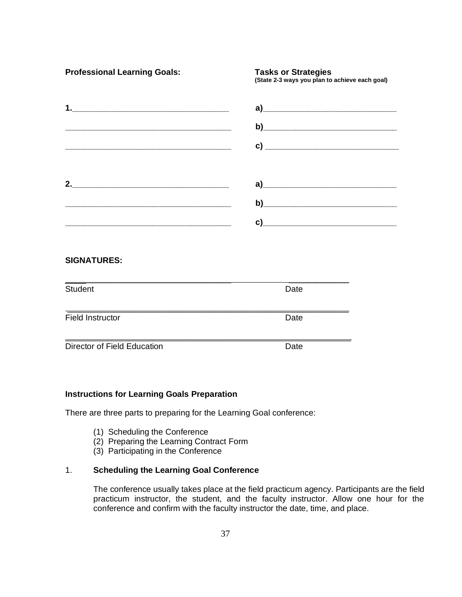**Professional Learning Goals: Tasks or Strategies**

**(State 2-3 ways you plan to achieve each goal)**

# **SIGNATURES:**

| <b>Student</b>              | Date |
|-----------------------------|------|
| <b>Field Instructor</b>     | Date |
| Director of Field Education | Date |

# **Instructions for Learning Goals Preparation**

There are three parts to preparing for the Learning Goal conference:

- <span id="page-36-0"></span>(1) Scheduling the Conference
- (2) Preparing the Learning Contract Form
- (3) Participating in the Conference

# 1. **Scheduling the Learning Goal Conference**

The conference usually takes place at the field practicum agency. Participants are the field practicum instructor, the student, and the faculty instructor. Allow one hour for the conference and confirm with the faculty instructor the date, time, and place.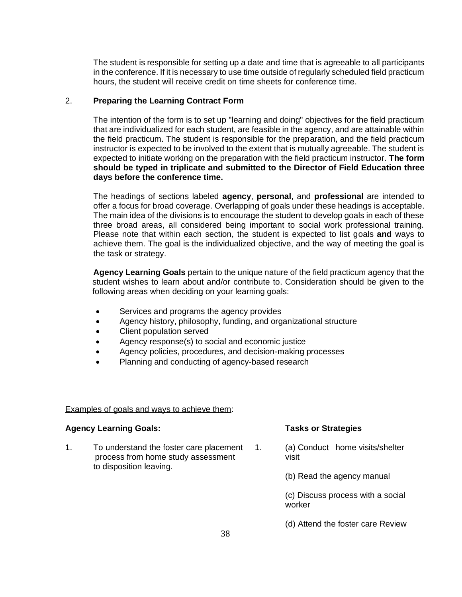The student is responsible for setting up a date and time that is agreeable to all participants in the conference. If it is necessary to use time outside of regularly scheduled field practicum hours, the student will receive credit on time sheets for conference time.

# 2. **Preparing the Learning Contract Form**

The intention of the form is to set up "learning and doing" objectives for the field practicum that are individualized for each student, are feasible in the agency, and are attainable within the field practicum. The student is responsible for the preparation, and the field practicum instructor is expected to be involved to the extent that is mutually agreeable. The student is expected to initiate working on the preparation with the field practicum instructor. **The form should be typed in triplicate and submitted to the Director of Field Education three days before the conference time.**

The headings of sections labeled **agency**, **personal**, and **professional** are intended to offer a focus for broad coverage. Overlapping of goals under these headings is acceptable. The main idea of the divisions is to encourage the student to develop goals in each of these three broad areas, all considered being important to social work professional training. Please note that within each section, the student is expected to list goals **and** ways to achieve them. The goal is the individualized objective, and the way of meeting the goal is the task or strategy.

**Agency Learning Goals** pertain to the unique nature of the field practicum agency that the student wishes to learn about and/or contribute to. Consideration should be given to the following areas when deciding on your learning goals:

- Services and programs the agency provides
- Agency history, philosophy, funding, and organizational structure
- Client population served
- Agency response(s) to social and economic justice
- Agency policies, procedures, and decision-making processes
- Planning and conducting of agency-based research

# Examples of goals and ways to achieve them:

# **Agency Learning Goals: Tasks or Strategies**

1. To understand the foster care placement 1. (a) Conduct home visits/shelter process from home study assessment visit to disposition leaving.

- - (b) Read the agency manual
	- (c) Discuss process with a social worker
	- (d) Attend the foster care Review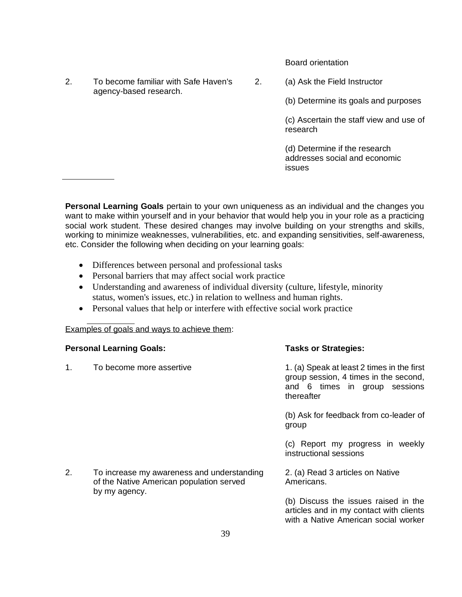# Board orientation

- 2. To become familiar with Safe Haven's 2. (a) Ask the Field Instructor agency-based research.
- 

(b) Determine its goals and purposes

(c) Ascertain the staff view and use of research

(d) Determine if the research addresses social and economic issues

**Personal Learning Goals** pertain to your own uniqueness as an individual and the changes you want to make within yourself and in your behavior that would help you in your role as a practicing social work student. These desired changes may involve building on your strengths and skills, working to minimize weaknesses, vulnerabilities, etc. and expanding sensitivities, self-awareness, etc. Consider the following when deciding on your learning goals:

- Differences between personal and professional tasks
- Personal barriers that may affect social work practice
- Understanding and awareness of individual diversity (culture, lifestyle, minority status, women's issues, etc.) in relation to wellness and human rights.
- Personal values that help or interfere with effective social work practice

Examples of goals and ways to achieve them:

# **Personal Learning Goals: Tasks or Strategies:**

1. To become more assertive 1. (a) Speak at least 2 times in the first group session, 4 times in the second, and 6 times in group sessions thereafter

> (b) Ask for feedback from co-leader of group

> (c) Report my progress in weekly instructional sessions

2. To increase my awareness and understanding 2. (a) Read 3 articles on Native of the Native American population served **Americans.** by my agency.

(b) Discuss the issues raised in the articles and in my contact with clients with a Native American social worker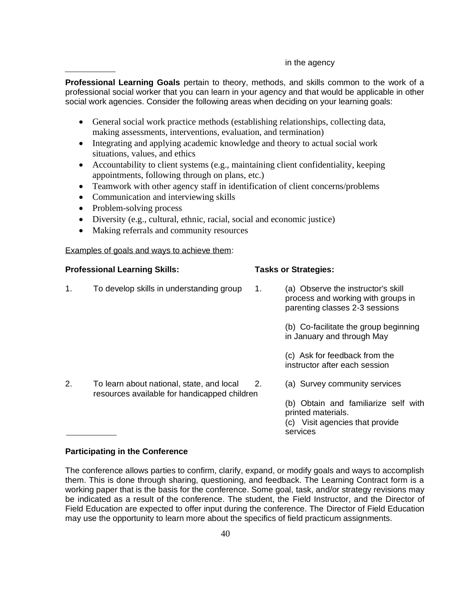# in the agency

**Professional Learning Goals** pertain to theory, methods, and skills common to the work of a professional social worker that you can learn in your agency and that would be applicable in other social work agencies. Consider the following areas when deciding on your learning goals:

- General social work practice methods (establishing relationships, collecting data, making assessments, interventions, evaluation, and termination)
- Integrating and applying academic knowledge and theory to actual social work situations, values, and ethics
- Accountability to client systems (e.g., maintaining client confidentiality, keeping appointments, following through on plans, etc.)
- Teamwork with other agency staff in identification of client concerns/problems
- Communication and interviewing skills
- Problem-solving process
- Diversity (e.g., cultural, ethnic, racial, social and economic justice)
- Making referrals and community resources

# Examples of goals and ways to achieve them:

|    | <b>Professional Learning Skills:</b>                                                      |    | <b>Tasks or Strategies:</b>                                                                                |
|----|-------------------------------------------------------------------------------------------|----|------------------------------------------------------------------------------------------------------------|
| 1. | To develop skills in understanding group                                                  | 1. | (a) Observe the instructor's skill<br>process and working with groups in<br>parenting classes 2-3 sessions |
|    |                                                                                           |    | (b) Co-facilitate the group beginning<br>in January and through May                                        |
|    |                                                                                           |    | (c) Ask for feedback from the<br>instructor after each session                                             |
| 2. | To learn about national, state, and local<br>resources available for handicapped children | 2. | (a) Survey community services                                                                              |
|    |                                                                                           |    | (b) Obtain and familiarize self with<br>printed materials.<br>(c) Visit agencies that provide<br>services  |

# **Participating in the Conference**

The conference allows parties to confirm, clarify, expand, or modify goals and ways to accomplish them. This is done through sharing, questioning, and feedback. The Learning Contract form is a working paper that is the basis for the conference. Some goal, task, and/or strategy revisions may be indicated as a result of the conference. The student, the Field Instructor, and the Director of Field Education are expected to offer input during the conference. The Director of Field Education may use the opportunity to learn more about the specifics of field practicum assignments.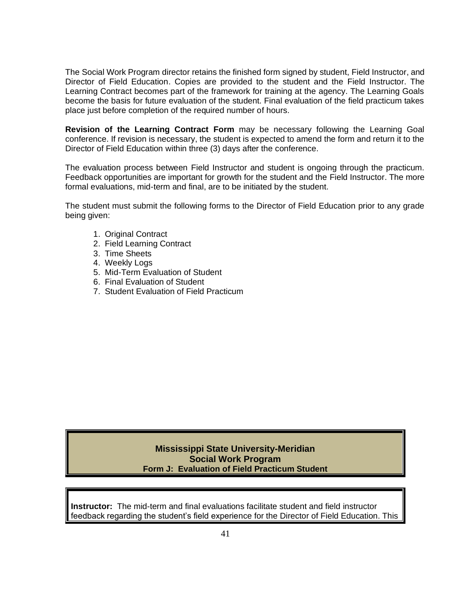The Social Work Program director retains the finished form signed by student, Field Instructor, and Director of Field Education. Copies are provided to the student and the Field Instructor. The Learning Contract becomes part of the framework for training at the agency. The Learning Goals become the basis for future evaluation of the student. Final evaluation of the field practicum takes place just before completion of the required number of hours.

**Revision of the Learning Contract Form** may be necessary following the Learning Goal conference. If revision is necessary, the student is expected to amend the form and return it to the Director of Field Education within three (3) days after the conference.

The evaluation process between Field Instructor and student is ongoing through the practicum. Feedback opportunities are important for growth for the student and the Field Instructor. The more formal evaluations, mid-term and final, are to be initiated by the student.

The student must submit the following forms to the Director of Field Education prior to any grade being given:

- 1. Original Contract
- 2. Field Learning Contract
- 3. Time Sheets
- 4. Weekly Logs
- 5. Mid-Term Evaluation of Student
- 6. Final Evaluation of Student
- 7. Student Evaluation of Field Practicum

# **Mississippi State University-Meridian Social Work Program Form J: Evaluation of Field Practicum Student**

**Instructor:** The mid-term and final evaluations facilitate student and field instructor feedback regarding the student's field experience for the Director of Field Education. This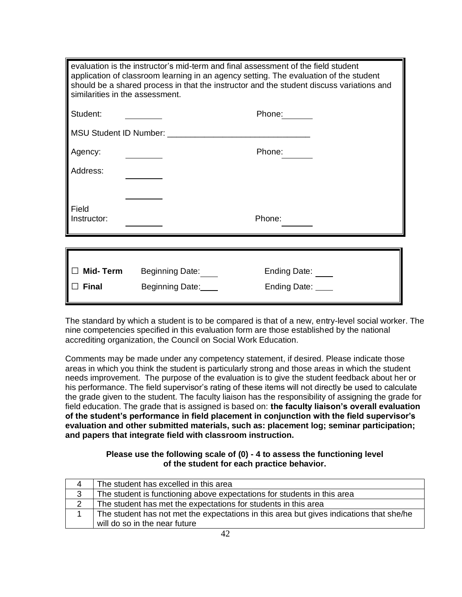| evaluation is the instructor's mid-term and final assessment of the field student<br>application of classroom learning in an agency setting. The evaluation of the student<br>should be a shared process in that the instructor and the student discuss variations and<br>similarities in the assessment. |                                    |                                   |  |  |  |  |  |
|-----------------------------------------------------------------------------------------------------------------------------------------------------------------------------------------------------------------------------------------------------------------------------------------------------------|------------------------------------|-----------------------------------|--|--|--|--|--|
| Student:                                                                                                                                                                                                                                                                                                  |                                    | Phone:                            |  |  |  |  |  |
|                                                                                                                                                                                                                                                                                                           |                                    |                                   |  |  |  |  |  |
| Agency:                                                                                                                                                                                                                                                                                                   |                                    | Phone:                            |  |  |  |  |  |
| Address:                                                                                                                                                                                                                                                                                                  |                                    |                                   |  |  |  |  |  |
| Field<br>Instructor:                                                                                                                                                                                                                                                                                      |                                    | Phone:                            |  |  |  |  |  |
|                                                                                                                                                                                                                                                                                                           |                                    |                                   |  |  |  |  |  |
| $\Box$ Mid-Term<br>$\Box$ Final                                                                                                                                                                                                                                                                           | Beginning Date:<br>Beginning Date: | Ending Date:<br>Ending Date: ____ |  |  |  |  |  |

The standard by which a student is to be compared is that of a new, entry-level social worker. The nine competencies specified in this evaluation form are those established by the national accrediting organization, the Council on Social Work Education.

Comments may be made under any competency statement, if desired. Please indicate those areas in which you think the student is particularly strong and those areas in which the student needs improvement. The purpose of the evaluation is to give the student feedback about her or his performance. The field supervisor's rating of these items will not directly be used to calculate the grade given to the student. The faculty liaison has the responsibility of assigning the grade for field education. The grade that is assigned is based on: **the faculty liaison's overall evaluation of the student's performance in field placement in conjunction with the field supervisor's evaluation and other submitted materials, such as: placement log; seminar participation; and papers that integrate field with classroom instruction.**

# **Please use the following scale of (0) - 4 to assess the functioning level of the student for each practice behavior.**

| 4 | The student has excelled in this area                                                   |
|---|-----------------------------------------------------------------------------------------|
| 3 | The student is functioning above expectations for students in this area                 |
| 2 | The student has met the expectations for students in this area                          |
|   | The student has not met the expectations in this area but gives indications that she/he |
|   | will do so in the near future                                                           |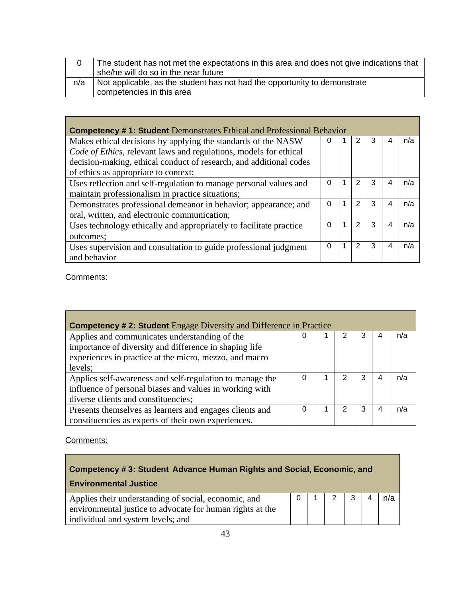| The student has not met the expectations in this area and does not give indications that               |
|--------------------------------------------------------------------------------------------------------|
| she/he will do so in the near future                                                                   |
| Not applicable, as the student has not had the opportunity to demonstrate<br>competencies in this area |

| <b>Competency #1: Student</b> Demonstrates Ethical and Professional Behavior |          |  |   |   |   |     |  |
|------------------------------------------------------------------------------|----------|--|---|---|---|-----|--|
| Makes ethical decisions by applying the standards of the NASW                | 0        |  | 2 | 3 |   | n/a |  |
| Code of Ethics, relevant laws and regulations, models for ethical            |          |  |   |   |   |     |  |
| decision-making, ethical conduct of research, and additional codes           |          |  |   |   |   |     |  |
| of ethics as appropriate to context;                                         |          |  |   |   |   |     |  |
| Uses reflection and self-regulation to manage personal values and            | 0        |  | 2 | 3 | 4 | n/a |  |
| maintain professionalism in practice situations;                             |          |  |   |   |   |     |  |
| Demonstrates professional demeanor in behavior; appearance; and              | $\Omega$ |  | 2 | 3 | 4 | n/a |  |
| oral, written, and electronic communication;                                 |          |  |   |   |   |     |  |
| Uses technology ethically and appropriately to facilitate practice           | $\Omega$ |  | 2 | 3 | 4 | n/a |  |
| outcomes;                                                                    |          |  |   |   |   |     |  |
| Uses supervision and consultation to guide professional judgment             | $\Omega$ |  | 2 | 3 | 4 | n/a |  |
| and behavior                                                                 |          |  |   |   |   |     |  |

п

| <b>Competency #2: Student</b> Engage Diversity and Difference in Practice |   |  |   |   |  |     |  |  |
|---------------------------------------------------------------------------|---|--|---|---|--|-----|--|--|
| Applies and communicates understanding of the                             |   |  |   |   |  | n/a |  |  |
| importance of diversity and difference in shaping life                    |   |  |   |   |  |     |  |  |
| experiences in practice at the micro, mezzo, and macro                    |   |  |   |   |  |     |  |  |
| levels;                                                                   |   |  |   |   |  |     |  |  |
| Applies self-awareness and self-regulation to manage the                  | ∩ |  |   | 3 |  | n/a |  |  |
| influence of personal biases and values in working with                   |   |  |   |   |  |     |  |  |
| diverse clients and constituencies;                                       |   |  |   |   |  |     |  |  |
| Presents themselves as learners and engages clients and                   | 0 |  | 2 | 3 |  | n/a |  |  |
| constituencies as experts of their own experiences.                       |   |  |   |   |  |     |  |  |

Comments:

**Contract** 

| Competency # 3: Student Advance Human Rights and Social, Economic, and<br><b>Environmental Justice</b>            |          |   |     |                |     |
|-------------------------------------------------------------------------------------------------------------------|----------|---|-----|----------------|-----|
| Applies their understanding of social, economic, and<br>environmental justice to advocate for human rights at the | $\Omega$ | 2 | - 3 | $\overline{4}$ | n/a |
| individual and system levels; and                                                                                 |          |   |     |                |     |

Ť.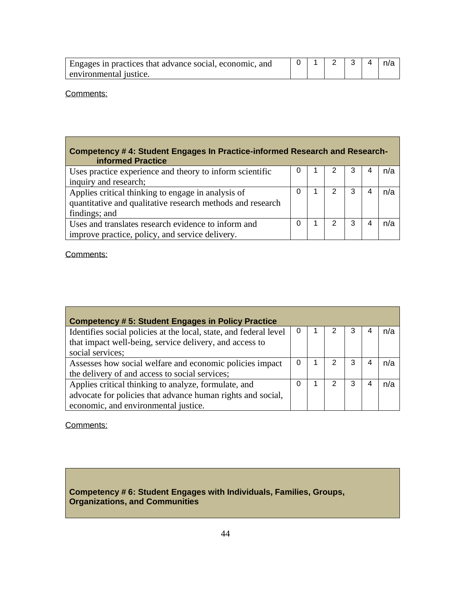| Engages in practices that advance social, economic, and |  |  | n/a |
|---------------------------------------------------------|--|--|-----|
| environmental justice.                                  |  |  |     |

| Competency #4: Student Engages In Practice-informed Research and Research-<br><b>informed Practice</b> |  |               |  |  |
|--------------------------------------------------------------------------------------------------------|--|---------------|--|--|
| Uses practice experience and theory to inform scientific                                               |  | 0 1 2 3 4 n/a |  |  |

| Uses practice experience and theory to inform scientific   |   |               |   | n/a |
|------------------------------------------------------------|---|---------------|---|-----|
| inquiry and research;                                      |   |               |   |     |
| Applies critical thinking to engage in analysis of         |   | 2             | 3 | n/a |
| quantitative and qualitative research methods and research |   |               |   |     |
| findings; and                                              |   |               |   |     |
| Uses and translates research evidence to inform and        | 0 | $\mathcal{D}$ | ີ | n/a |
| improve practice, policy, and service delivery.            |   |               |   |     |

Comments:

| <b>Competency #5: Student Engages in Policy Practice</b>          |   |   |   |   |     |
|-------------------------------------------------------------------|---|---|---|---|-----|
| Identifies social policies at the local, state, and federal level | 0 |   | 3 |   | n/a |
| that impact well-being, service delivery, and access to           |   |   |   |   |     |
| social services;                                                  |   |   |   |   |     |
| Assesses how social welfare and economic policies impact          | 0 | 2 | 3 | 4 | n/a |
| the delivery of and access to social services;                    |   |   |   |   |     |
| Applies critical thinking to analyze, formulate, and              | 0 | 2 | 3 | 4 | n/a |
| advocate for policies that advance human rights and social,       |   |   |   |   |     |
| economic, and environmental justice.                              |   |   |   |   |     |

Comments:

# **Competency # 6: Student Engages with Individuals, Families, Groups, Organizations, and Communities**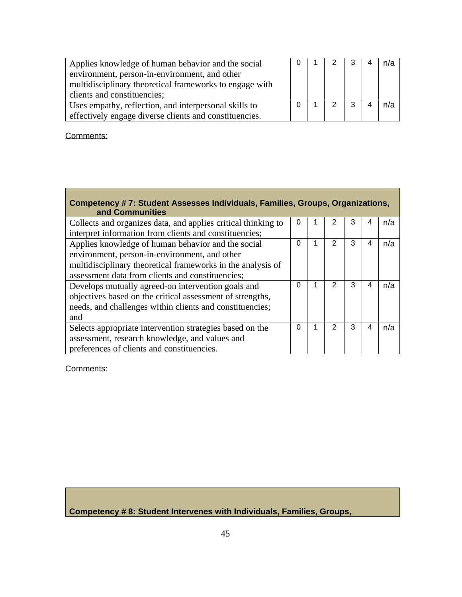| Applies knowledge of human behavior and the social      |   |               | 3 | n/a |
|---------------------------------------------------------|---|---------------|---|-----|
| environment, person-in-environment, and other           |   |               |   |     |
| multidisciplinary theoretical frameworks to engage with |   |               |   |     |
| clients and constituencies;                             |   |               |   |     |
| Uses empathy, reflection, and interpersonal skills to   | 0 | $\mathcal{D}$ | 3 | n/a |
| effectively engage diverse clients and constituencies.  |   |               |   |     |

Г

| Competency # 7: Student Assesses Individuals, Families, Groups, Organizations,<br>and Communities |          |   |               |   |   |     |
|---------------------------------------------------------------------------------------------------|----------|---|---------------|---|---|-----|
| Collects and organizes data, and applies critical thinking to                                     | 0        |   | 2             | 3 | 4 | n/a |
| interpret information from clients and constituencies;                                            |          |   |               |   |   |     |
| Applies knowledge of human behavior and the social                                                | $\Omega$ | 1 | $\mathcal{P}$ | 3 | 4 | n/a |
| environment, person-in-environment, and other                                                     |          |   |               |   |   |     |
| multidisciplinary theoretical frameworks in the analysis of                                       |          |   |               |   |   |     |
| assessment data from clients and constituencies;                                                  |          |   |               |   |   |     |
| Develops mutually agreed-on intervention goals and                                                | 0        |   | $\mathcal{P}$ | 3 | 4 | n/a |
| objectives based on the critical assessment of strengths,                                         |          |   |               |   |   |     |
| needs, and challenges within clients and constituencies;                                          |          |   |               |   |   |     |
| and                                                                                               |          |   |               |   |   |     |
| Selects appropriate intervention strategies based on the                                          | $\Omega$ |   | $\mathcal{P}$ | 3 | 4 | n/a |
| assessment, research knowledge, and values and                                                    |          |   |               |   |   |     |
| preferences of clients and constituencies.                                                        |          |   |               |   |   |     |

٦

Comments:

**Competency # 8: Student Intervenes with Individuals, Families, Groups,**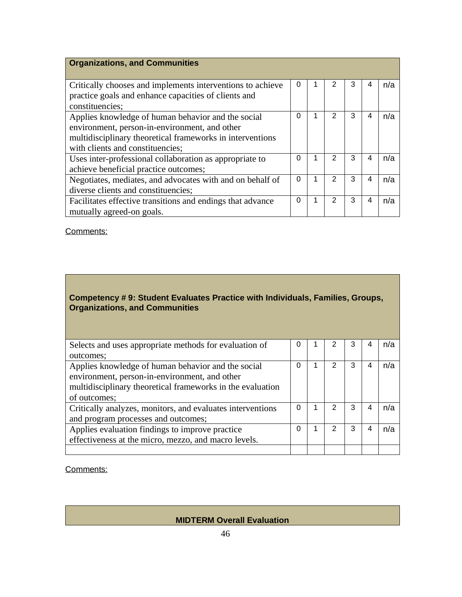| <b>Organizations, and Communities</b>                                                                                                                                                                |          |                |   |   |     |
|------------------------------------------------------------------------------------------------------------------------------------------------------------------------------------------------------|----------|----------------|---|---|-----|
| Critically chooses and implements interventions to achieve<br>practice goals and enhance capacities of clients and<br>constituencies;                                                                | 0        | 2              | 3 | 4 | n/a |
| Applies knowledge of human behavior and the social<br>environment, person-in-environment, and other<br>multidisciplinary theoretical frameworks in interventions<br>with clients and constituencies; | $\Omega$ | 2              | 3 | 4 | n/a |
| Uses inter-professional collaboration as appropriate to<br>achieve beneficial practice outcomes;                                                                                                     | $\Omega$ | 2              | 3 | 4 | n/a |
| Negotiates, mediates, and advocates with and on behalf of<br>diverse clients and constituencies;                                                                                                     | 0        | $\mathcal{P}$  | 3 | 4 | n/a |
| Facilitates effective transitions and endings that advance<br>mutually agreed-on goals.                                                                                                              | 0        | $\overline{2}$ | 3 | 4 | n/a |

# **Competency # 9: Student Evaluates Practice with Individuals, Families, Groups, Organizations, and Communities**

| Selects and uses appropriate methods for evaluation of     | 0 |   | 3 |   | n/a |
|------------------------------------------------------------|---|---|---|---|-----|
| outcomes;                                                  |   |   |   |   |     |
| Applies knowledge of human behavior and the social         | 0 |   | 3 |   | n/a |
| environment, person-in-environment, and other              |   |   |   |   |     |
| multidisciplinary theoretical frameworks in the evaluation |   |   |   |   |     |
| of outcomes;                                               |   |   |   |   |     |
| Critically analyzes, monitors, and evaluates interventions | 0 | 2 | 3 | 4 | n/a |
| and program processes and outcomes;                        |   |   |   |   |     |
| Applies evaluation findings to improve practice            | 0 |   | 3 |   | n/a |
| effectiveness at the micro, mezzo, and macro levels.       |   |   |   |   |     |
|                                                            |   |   |   |   |     |

Comments:

# **MIDTERM Overall Evaluation**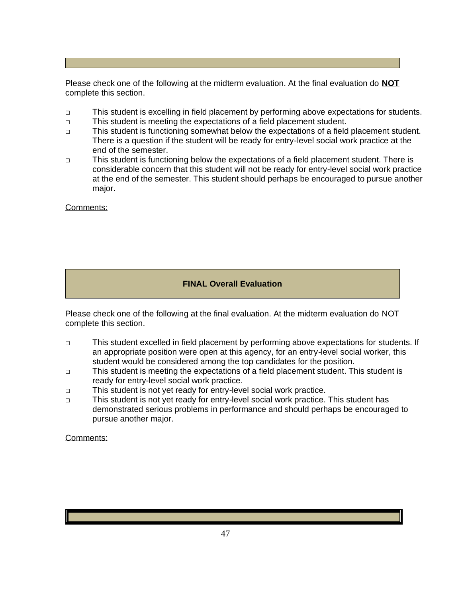Please check one of the following at the midterm evaluation. At the final evaluation do **NOT** complete this section.

- □ This student is excelling in field placement by performing above expectations for students.
- □ This student is meeting the expectations of a field placement student.
- □ This student is functioning somewhat below the expectations of a field placement student. There is a question if the student will be ready for entry-level social work practice at the end of the semester.
- □ This student is functioning below the expectations of a field placement student. There is considerable concern that this student will not be ready for entry-level social work practice at the end of the semester. This student should perhaps be encouraged to pursue another major.

Comments:

# **FINAL Overall Evaluation**

Please check one of the following at the final evaluation. At the midterm evaluation do NOT complete this section.

- □ This student excelled in field placement by performing above expectations for students. If an appropriate position were open at this agency, for an entry-level social worker, this student would be considered among the top candidates for the position.
- □ This student is meeting the expectations of a field placement student. This student is ready for entry-level social work practice.
- □ This student is not yet ready for entry-level social work practice.
- □ This student is not yet ready for entry-level social work practice. This student has demonstrated serious problems in performance and should perhaps be encouraged to pursue another major.

Comments: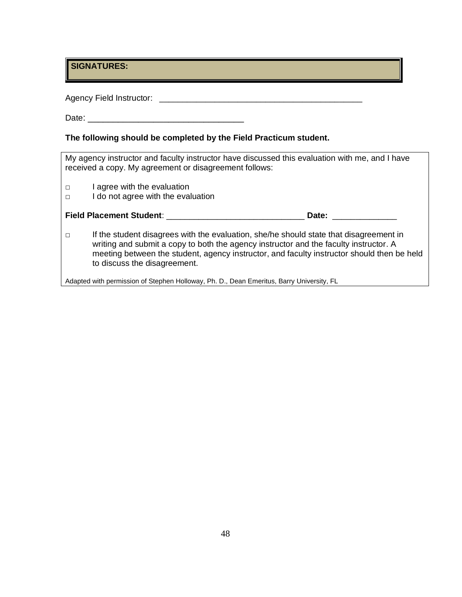# **SIGNATURES:**

Agency Field Instructor: \_\_\_\_\_\_\_\_\_\_\_\_\_\_\_\_\_\_\_\_\_\_\_\_\_\_\_\_\_\_\_\_\_\_\_\_\_\_\_\_\_\_\_\_

Date: \_\_\_\_\_\_\_\_\_\_\_\_\_\_\_\_\_\_\_\_\_\_\_\_\_\_\_\_\_\_\_

### **The following should be completed by the Field Practicum student.**

My agency instructor and faculty instructor have discussed this evaluation with me, and I have received a copy. My agreement or disagreement follows:

- □ I agree with the evaluation
- □ I do not agree with the evaluation

□ If the student disagrees with the evaluation, she/he should state that disagreement in writing and submit a copy to both the agency instructor and the faculty instructor. A meeting between the student, agency instructor, and faculty instructor should then be held to discuss the disagreement.

Adapted with permission of Stephen Holloway, Ph. D., Dean Emeritus, Barry University, FL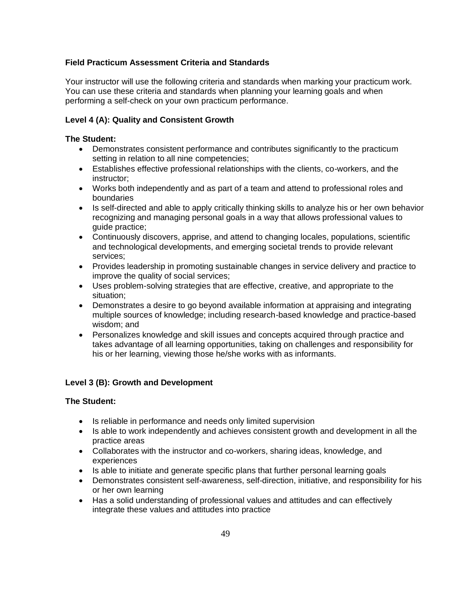# <span id="page-48-0"></span>**Field Practicum Assessment Criteria and Standards**

Your instructor will use the following criteria and standards when marking your practicum work. You can use these criteria and standards when planning your learning goals and when performing a self-check on your own practicum performance.

# **Level 4 (A): Quality and Consistent Growth**

# **The Student:**

- Demonstrates consistent performance and contributes significantly to the practicum setting in relation to all nine competencies;
- Establishes effective professional relationships with the clients, co-workers, and the instructor;
- Works both independently and as part of a team and attend to professional roles and boundaries
- Is self-directed and able to apply critically thinking skills to analyze his or her own behavior recognizing and managing personal goals in a way that allows professional values to guide practice;
- Continuously discovers, apprise, and attend to changing locales, populations, scientific and technological developments, and emerging societal trends to provide relevant services;
- Provides leadership in promoting sustainable changes in service delivery and practice to improve the quality of social services;
- Uses problem-solving strategies that are effective, creative, and appropriate to the situation;
- Demonstrates a desire to go beyond available information at appraising and integrating multiple sources of knowledge; including research-based knowledge and practice-based wisdom; and
- Personalizes knowledge and skill issues and concepts acquired through practice and takes advantage of all learning opportunities, taking on challenges and responsibility for his or her learning, viewing those he/she works with as informants.

# **Level 3 (B): Growth and Development**

# **The Student:**

- Is reliable in performance and needs only limited supervision
- Is able to work independently and achieves consistent growth and development in all the practice areas
- Collaborates with the instructor and co-workers, sharing ideas, knowledge, and experiences
- Is able to initiate and generate specific plans that further personal learning goals
- Demonstrates consistent self-awareness, self-direction, initiative, and responsibility for his or her own learning
- Has a solid understanding of professional values and attitudes and can effectively integrate these values and attitudes into practice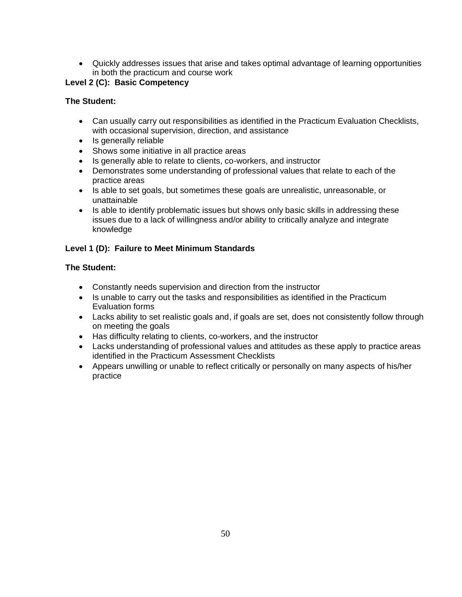• Quickly addresses issues that arise and takes optimal advantage of learning opportunities in both the practicum and course work

# **Level 2 (C): Basic Competency**

# **The Student:**

- Can usually carry out responsibilities as identified in the Practicum Evaluation Checklists, with occasional supervision, direction, and assistance
- Is generally reliable
- Shows some initiative in all practice areas
- Is generally able to relate to clients, co-workers, and instructor
- Demonstrates some understanding of professional values that relate to each of the practice areas
- Is able to set goals, but sometimes these goals are unrealistic, unreasonable, or unattainable
- Is able to identify problematic issues but shows only basic skills in addressing these issues due to a lack of willingness and/or ability to critically analyze and integrate knowledge

# **Level 1 (D): Failure to Meet Minimum Standards**

# **The Student:**

- Constantly needs supervision and direction from the instructor
- Is unable to carry out the tasks and responsibilities as identified in the Practicum Evaluation forms
- Lacks ability to set realistic goals and, if goals are set, does not consistently follow through on meeting the goals
- Has difficulty relating to clients, co-workers, and the instructor
- Lacks understanding of professional values and attitudes as these apply to practice areas identified in the Practicum Assessment Checklists
- Appears unwilling or unable to reflect critically or personally on many aspects of his/her practice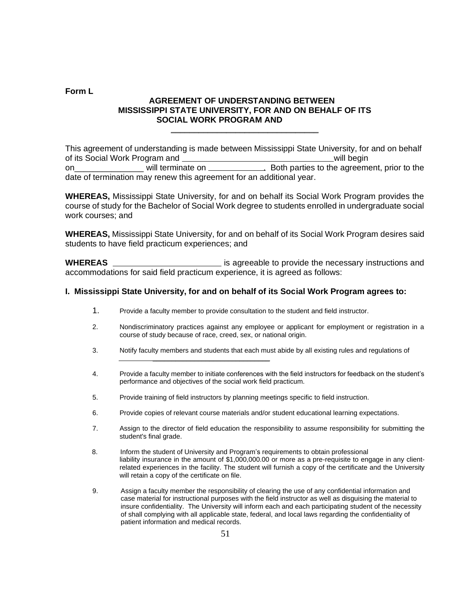### <span id="page-50-0"></span>**Form L**

# **AGREEMENT OF UNDERSTANDING BETWEEN MISSISSIPPI STATE UNIVERSITY, FOR AND ON BEHALF OF ITS SOCIAL WORK PROGRAM AND \_\_\_\_\_\_\_\_\_\_\_\_\_\_\_\_\_\_\_\_\_\_\_\_\_\_\_\_\_\_\_\_**

This agreement of understanding is made between Mississippi State University, for and on behalf of its Social Work Program and <u>will begin</u> begin will begin on by will terminate on **Example 20** Let Both parties to the agreement, prior to the date of termination may renew this agreement for an additional year.

**WHEREAS,** Mississippi State University, for and on behalf its Social Work Program provides the course of study for the Bachelor of Social Work degree to students enrolled in undergraduate social work courses; and

**WHEREAS,** Mississippi State University, for and on behalf of its Social Work Program desires said students to have field practicum experiences; and

**WHEREAS** <u>**is agreeable to provide the necessary instructions and** is agreeable to provide the necessary instructions and</u> accommodations for said field practicum experience, it is agreed as follows:

# **I. Mississippi State University, for and on behalf of its Social Work Program agrees to:**

- 1. Provide a faculty member to provide consultation to the student and field instructor.
- 2. Nondiscriminatory practices against any employee or applicant for employment or registration in a course of study because of race, creed, sex, or national origin.
- 3. Notify faculty members and students that each must abide by all existing rules and regulations of
- 4. Provide a faculty member to initiate conferences with the field instructors for feedback on the student's performance and objectives of the social work field practicum.
- 5. Provide training of field instructors by planning meetings specific to field instruction.

 **\_\_\_\_\_\_\_\_\_\_\_\_\_\_\_\_\_\_\_\_\_\_\_\_\_\_\_\_\_\_\_**

- 6. Provide copies of relevant course materials and/or student educational learning expectations.
- 7. Assign to the director of field education the responsibility to assume responsibility for submitting the student's final grade.
- 8. Inform the student of University and Program's requirements to obtain professional liability insurance in the amount of \$1,000,000.00 or more as a pre-requisite to engage in any clientrelated experiences in the facility. The student will furnish a copy of the certificate and the University will retain a copy of the certificate on file.
- 9. Assign a faculty member the responsibility of clearing the use of any confidential information and case material for instructional purposes with the field instructor as well as disguising the material to insure confidentiality. The University will inform each and each participating student of the necessity of shall complying with all applicable state, federal, and local laws regarding the confidentiality of patient information and medical records.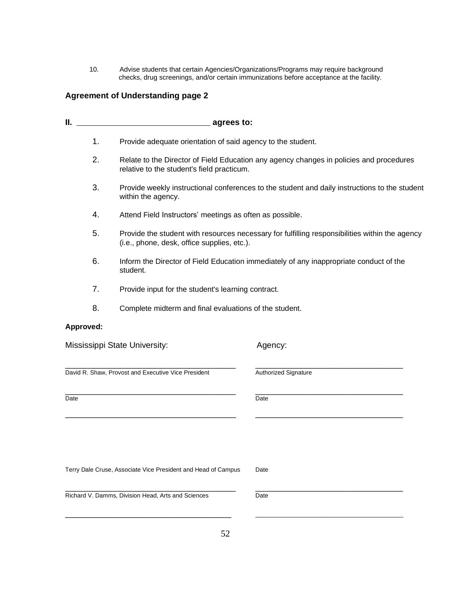10. Advise students that certain Agencies/Organizations/Programs may require background checks, drug screenings, and/or certain immunizations before acceptance at the facility.

# **Agreement of Understanding page 2**

| Ш.                            | agrees to:                                                                                                                                    |
|-------------------------------|-----------------------------------------------------------------------------------------------------------------------------------------------|
| 1.                            | Provide adequate orientation of said agency to the student.                                                                                   |
| 2.                            | Relate to the Director of Field Education any agency changes in policies and procedures<br>relative to the student's field practicum.         |
| 3.                            | Provide weekly instructional conferences to the student and daily instructions to the student<br>within the agency.                           |
| 4.                            | Attend Field Instructors' meetings as often as possible.                                                                                      |
| 5.                            | Provide the student with resources necessary for fulfilling responsibilities within the agency<br>(i.e., phone, desk, office supplies, etc.). |
| 6.                            | Inform the Director of Field Education immediately of any inappropriate conduct of the<br>student.                                            |
| 7.                            | Provide input for the student's learning contract.                                                                                            |
| 8.                            | Complete midterm and final evaluations of the student.                                                                                        |
| Approved:                     |                                                                                                                                               |
| Mississippi State University: | Agency:                                                                                                                                       |

\_\_\_\_\_\_\_\_\_\_\_\_\_\_\_\_\_\_\_\_\_\_\_\_\_\_\_\_\_\_\_\_\_\_\_\_\_ \_\_\_\_\_\_\_\_\_\_\_\_\_\_\_\_\_\_\_\_\_\_\_\_\_\_\_\_\_\_\_\_ David R. Shaw, Provost and Executive Vice President **Authorized Signature** 

\_\_\_\_\_\_\_\_\_\_\_\_\_\_\_\_\_\_\_\_\_\_\_\_\_\_\_\_\_\_\_\_\_\_\_\_\_ \_\_\_\_\_\_\_\_\_\_\_\_\_\_\_\_\_\_\_\_\_\_\_\_\_\_\_\_\_\_\_\_ Date **Date** Date **Date** Date **Date** Date **Date** 

Terry Dale Cruse, Associate Vice President and Head of Campus Date

\_\_\_\_\_\_\_\_\_\_\_\_\_\_\_\_\_\_\_\_\_\_\_\_\_\_\_\_\_\_\_\_\_\_\_\_\_ \_\_\_\_\_\_\_\_\_\_\_\_\_\_\_\_\_\_\_\_\_\_\_\_\_\_\_\_\_\_\_\_ Richard V. Damms, Division Head, Arts and Sciences Date

\_\_\_\_\_\_\_\_\_\_\_\_\_\_\_\_\_\_\_\_\_\_\_\_\_\_\_\_\_\_\_\_\_\_\_\_ \_\_\_\_\_\_\_\_\_\_\_\_\_\_\_\_\_\_\_\_\_\_\_\_\_\_\_\_\_\_\_\_\_\_\_\_\_\_\_\_\_\_\_\_

\_\_\_\_\_\_\_\_\_\_\_\_\_\_\_\_\_\_\_\_\_\_\_\_\_\_\_\_\_\_\_\_\_\_\_\_\_ \_\_\_\_\_\_\_\_\_\_\_\_\_\_\_\_\_\_\_\_\_\_\_\_\_\_\_\_\_\_\_\_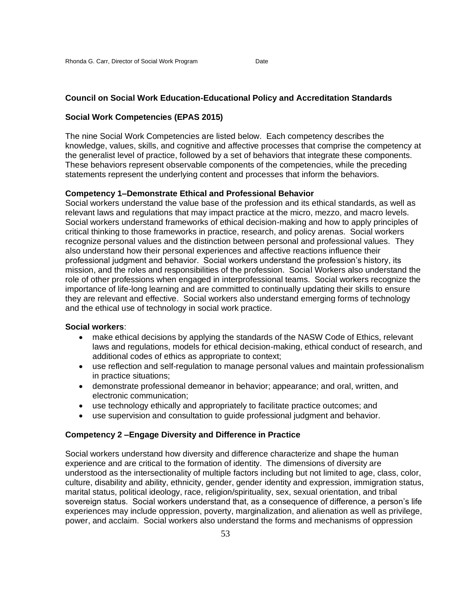### **Council on Social Work Education-Educational Policy and Accreditation Standards**

### **Social Work Competencies (EPAS 2015)**

The nine Social Work Competencies are listed below. Each competency describes the knowledge, values, skills, and cognitive and affective processes that comprise the competency at the generalist level of practice, followed by a set of behaviors that integrate these components. These behaviors represent observable components of the competencies, while the preceding statements represent the underlying content and processes that inform the behaviors.

### **Competency 1–Demonstrate Ethical and Professional Behavior**

Social workers understand the value base of the profession and its ethical standards, as well as relevant laws and regulations that may impact practice at the micro, mezzo, and macro levels. Social workers understand frameworks of ethical decision-making and how to apply principles of critical thinking to those frameworks in practice, research, and policy arenas. Social workers recognize personal values and the distinction between personal and professional values. They also understand how their personal experiences and affective reactions influence their professional judgment and behavior. Social workers understand the profession's history, its mission, and the roles and responsibilities of the profession. Social Workers also understand the role of other professions when engaged in interprofessional teams. Social workers recognize the importance of life-long learning and are committed to continually updating their skills to ensure they are relevant and effective. Social workers also understand emerging forms of technology and the ethical use of technology in social work practice.

## **Social workers**:

- make ethical decisions by applying the standards of the NASW Code of Ethics, relevant laws and regulations, models for ethical decision-making, ethical conduct of research, and additional codes of ethics as appropriate to context;
- use reflection and self-regulation to manage personal values and maintain professionalism in practice situations;
- demonstrate professional demeanor in behavior; appearance; and oral, written, and electronic communication;
- use technology ethically and appropriately to facilitate practice outcomes; and
- use supervision and consultation to guide professional judgment and behavior.

### **Competency 2 –Engage Diversity and Difference in Practice**

Social workers understand how diversity and difference characterize and shape the human experience and are critical to the formation of identity. The dimensions of diversity are understood as the intersectionality of multiple factors including but not limited to age, class, color, culture, disability and ability, ethnicity, gender, gender identity and expression, immigration status, marital status, political ideology, race, religion/spirituality, sex, sexual orientation, and tribal sovereign status. Social workers understand that, as a consequence of difference, a person's life experiences may include oppression, poverty, marginalization, and alienation as well as privilege, power, and acclaim. Social workers also understand the forms and mechanisms of oppression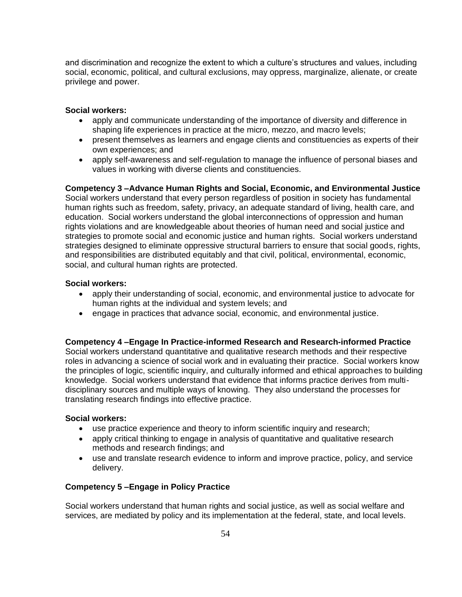and discrimination and recognize the extent to which a culture's structures and values, including social, economic, political, and cultural exclusions, may oppress, marginalize, alienate, or create privilege and power.

# **Social workers:**

- apply and communicate understanding of the importance of diversity and difference in shaping life experiences in practice at the micro, mezzo, and macro levels;
- present themselves as learners and engage clients and constituencies as experts of their own experiences; and
- apply self-awareness and self-regulation to manage the influence of personal biases and values in working with diverse clients and constituencies.

**Competency 3 –Advance Human Rights and Social, Economic, and Environmental Justice**  Social workers understand that every person regardless of position in society has fundamental human rights such as freedom, safety, privacy, an adequate standard of living, health care, and education. Social workers understand the global interconnections of oppression and human rights violations and are knowledgeable about theories of human need and social justice and strategies to promote social and economic justice and human rights. Social workers understand strategies designed to eliminate oppressive structural barriers to ensure that social goods, rights, and responsibilities are distributed equitably and that civil, political, environmental, economic, social, and cultural human rights are protected.

# **Social workers:**

- apply their understanding of social, economic, and environmental justice to advocate for human rights at the individual and system levels; and
- engage in practices that advance social, economic, and environmental justice.

# **Competency 4 –Engage In Practice-informed Research and Research-informed Practice**

Social workers understand quantitative and qualitative research methods and their respective roles in advancing a science of social work and in evaluating their practice. Social workers know the principles of logic, scientific inquiry, and culturally informed and ethical approaches to building knowledge. Social workers understand that evidence that informs practice derives from multidisciplinary sources and multiple ways of knowing. They also understand the processes for translating research findings into effective practice.

### **Social workers:**

- use practice experience and theory to inform scientific inquiry and research;
- apply critical thinking to engage in analysis of quantitative and qualitative research methods and research findings; and
- use and translate research evidence to inform and improve practice, policy, and service delivery.

# **Competency 5 –Engage in Policy Practice**

Social workers understand that human rights and social justice, as well as social welfare and services, are mediated by policy and its implementation at the federal, state, and local levels.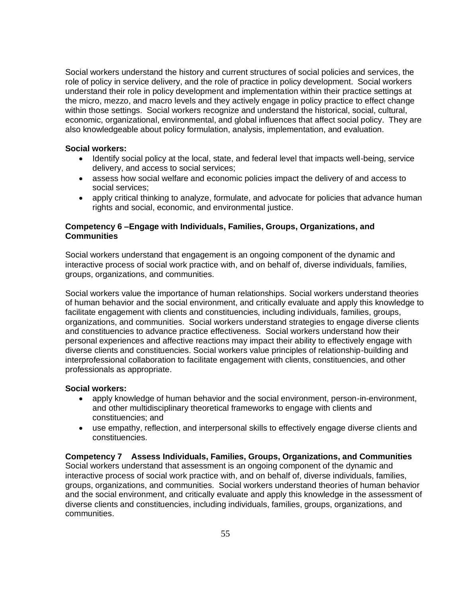Social workers understand the history and current structures of social policies and services, the role of policy in service delivery, and the role of practice in policy development. Social workers understand their role in policy development and implementation within their practice settings at the micro, mezzo, and macro levels and they actively engage in policy practice to effect change within those settings. Social workers recognize and understand the historical, social, cultural, economic, organizational, environmental, and global influences that affect social policy. They are also knowledgeable about policy formulation, analysis, implementation, and evaluation.

### **Social workers:**

- Identify social policy at the local, state, and federal level that impacts well-being, service delivery, and access to social services;
- assess how social welfare and economic policies impact the delivery of and access to social services;
- apply critical thinking to analyze, formulate, and advocate for policies that advance human rights and social, economic, and environmental justice.

# **Competency 6 –Engage with Individuals, Families, Groups, Organizations, and Communities**

Social workers understand that engagement is an ongoing component of the dynamic and interactive process of social work practice with, and on behalf of, diverse individuals, families, groups, organizations, and communities.

Social workers value the importance of human relationships. Social workers understand theories of human behavior and the social environment, and critically evaluate and apply this knowledge to facilitate engagement with clients and constituencies, including individuals, families, groups, organizations, and communities. Social workers understand strategies to engage diverse clients and constituencies to advance practice effectiveness. Social workers understand how their personal experiences and affective reactions may impact their ability to effectively engage with diverse clients and constituencies. Social workers value principles of relationship-building and interprofessional collaboration to facilitate engagement with clients, constituencies, and other professionals as appropriate.

# **Social workers:**

- apply knowledge of human behavior and the social environment, person-in-environment, and other multidisciplinary theoretical frameworks to engage with clients and constituencies; and
- use empathy, reflection, and interpersonal skills to effectively engage diverse clients and constituencies.

**Competency 7 Assess Individuals, Families, Groups, Organizations, and Communities**  Social workers understand that assessment is an ongoing component of the dynamic and interactive process of social work practice with, and on behalf of, diverse individuals, families, groups, organizations, and communities. Social workers understand theories of human behavior and the social environment, and critically evaluate and apply this knowledge in the assessment of diverse clients and constituencies, including individuals, families, groups, organizations, and communities.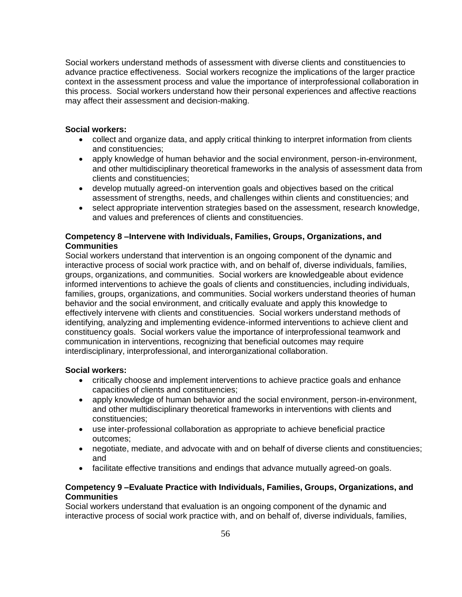Social workers understand methods of assessment with diverse clients and constituencies to advance practice effectiveness. Social workers recognize the implications of the larger practice context in the assessment process and value the importance of interprofessional collaboration in this process. Social workers understand how their personal experiences and affective reactions may affect their assessment and decision-making.

# **Social workers:**

- collect and organize data, and apply critical thinking to interpret information from clients and constituencies;
- apply knowledge of human behavior and the social environment, person-in-environment, and other multidisciplinary theoretical frameworks in the analysis of assessment data from clients and constituencies;
- develop mutually agreed-on intervention goals and objectives based on the critical assessment of strengths, needs, and challenges within clients and constituencies; and
- select appropriate intervention strategies based on the assessment, research knowledge, and values and preferences of clients and constituencies.

# **Competency 8 –Intervene with Individuals, Families, Groups, Organizations, and Communities**

Social workers understand that intervention is an ongoing component of the dynamic and interactive process of social work practice with, and on behalf of, diverse individuals, families, groups, organizations, and communities. Social workers are knowledgeable about evidence informed interventions to achieve the goals of clients and constituencies, including individuals, families, groups, organizations, and communities. Social workers understand theories of human behavior and the social environment, and critically evaluate and apply this knowledge to effectively intervene with clients and constituencies. Social workers understand methods of identifying, analyzing and implementing evidence-informed interventions to achieve client and constituency goals. Social workers value the importance of interprofessional teamwork and communication in interventions, recognizing that beneficial outcomes may require interdisciplinary, interprofessional, and interorganizational collaboration.

# **Social workers:**

- critically choose and implement interventions to achieve practice goals and enhance capacities of clients and constituencies;
- apply knowledge of human behavior and the social environment, person-in-environment, and other multidisciplinary theoretical frameworks in interventions with clients and constituencies;
- use inter-professional collaboration as appropriate to achieve beneficial practice outcomes;
- negotiate, mediate, and advocate with and on behalf of diverse clients and constituencies; and
- facilitate effective transitions and endings that advance mutually agreed-on goals.

# **Competency 9 –Evaluate Practice with Individuals, Families, Groups, Organizations, and Communities**

Social workers understand that evaluation is an ongoing component of the dynamic and interactive process of social work practice with, and on behalf of, diverse individuals, families,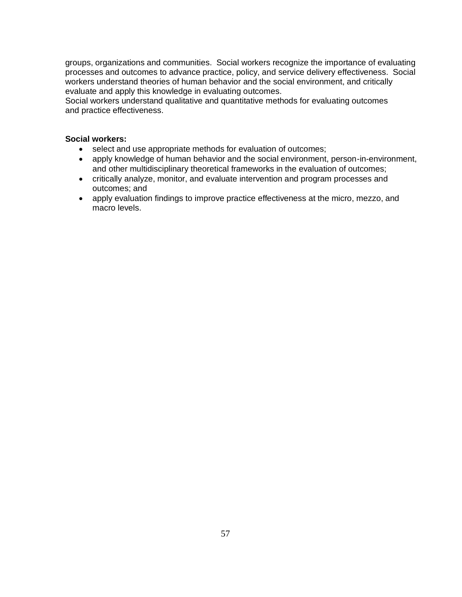groups, organizations and communities. Social workers recognize the importance of evaluating processes and outcomes to advance practice, policy, and service delivery effectiveness. Social workers understand theories of human behavior and the social environment, and critically evaluate and apply this knowledge in evaluating outcomes.

Social workers understand qualitative and quantitative methods for evaluating outcomes and practice effectiveness.

# **Social workers:**

- select and use appropriate methods for evaluation of outcomes;
- apply knowledge of human behavior and the social environment, person-in-environment, and other multidisciplinary theoretical frameworks in the evaluation of outcomes;
- critically analyze, monitor, and evaluate intervention and program processes and outcomes; and
- apply evaluation findings to improve practice effectiveness at the micro, mezzo, and macro levels.